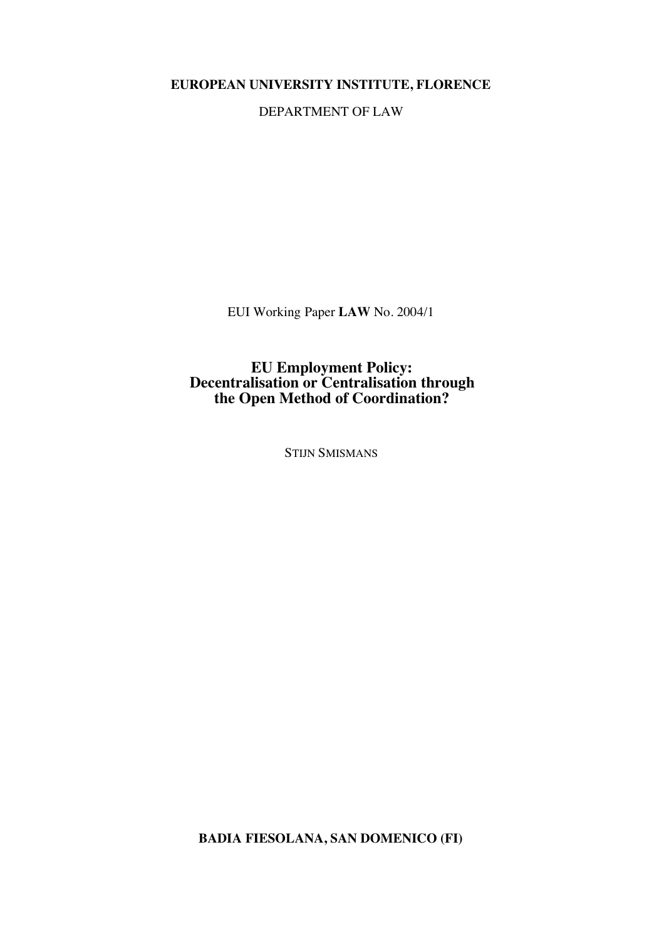**EUROPEAN UNIVERSITY INSTITUTE, FLORENCE**

DEPARTMENT OF LAW

EUI Working Paper **LAW** No. 2004/1

**EU Employment Policy: Decentralisation or Centralisation through the Open Method of Coordination?**

STIJN SMISMANS

**BADIA FIESOLANA, SAN DOMENICO (FI)**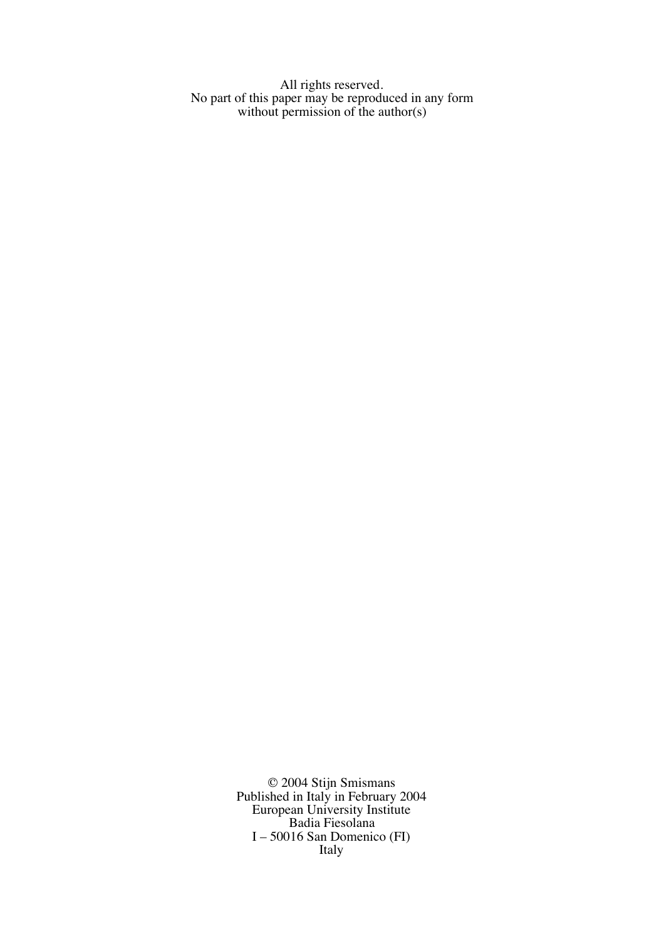All rights reserved. No part of this paper may be reproduced in any form without permission of the author(s)

> © 2004 Stijn Smismans Published in Italy in February 2004 European University Institute Badia Fiesolana I – 50016 San Domenico (FI) Italy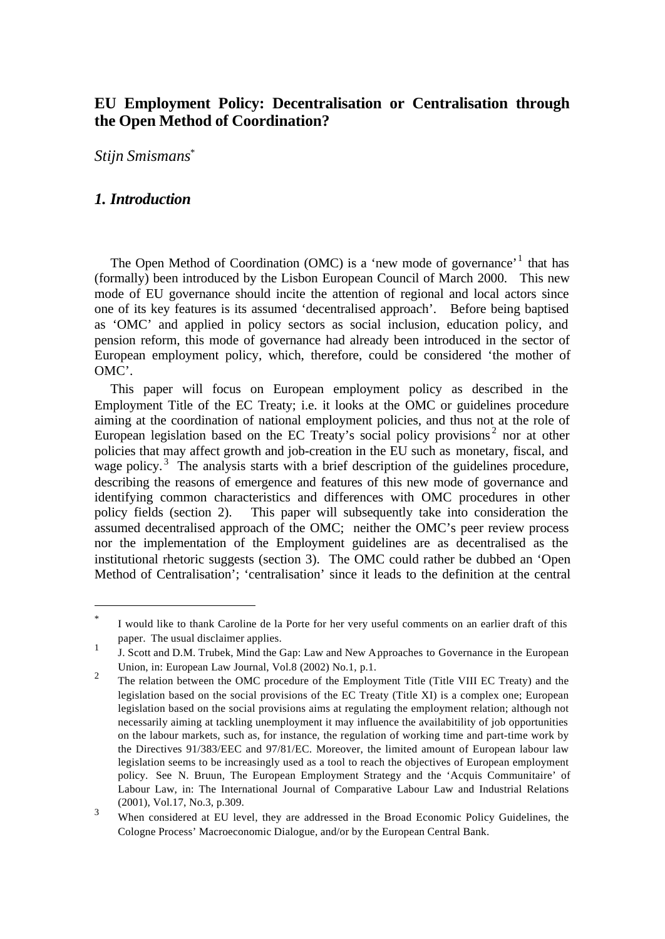# **EU Employment Policy: Decentralisation or Centralisation through the Open Method of Coordination?**

*Stijn Smismans\**

# *1. Introduction*

l

The Open Method of Coordination (OMC) is a 'new mode of governance'<sup>1</sup> that has (formally) been introduced by the Lisbon European Council of March 2000. This new mode of EU governance should incite the attention of regional and local actors since one of its key features is its assumed 'decentralised approach'. Before being baptised as 'OMC' and applied in policy sectors as social inclusion, education policy, and pension reform, this mode of governance had already been introduced in the sector of European employment policy, which, therefore, could be considered 'the mother of OMC'.

This paper will focus on European employment policy as described in the Employment Title of the EC Treaty; i.e. it looks at the OMC or guidelines procedure aiming at the coordination of national employment policies, and thus not at the role of European legislation based on the EC Treaty's social policy provisions<sup>2</sup> nor at other policies that may affect growth and job-creation in the EU such as monetary, fiscal, and wage policy.<sup>3</sup> The analysis starts with a brief description of the guidelines procedure, describing the reasons of emergence and features of this new mode of governance and identifying common characteristics and differences with OMC procedures in other policy fields (section 2). This paper will subsequently take into consideration the assumed decentralised approach of the OMC; neither the OMC's peer review process nor the implementation of the Employment guidelines are as decentralised as the institutional rhetoric suggests (section 3). The OMC could rather be dubbed an 'Open Method of Centralisation'; 'centralisation' since it leads to the definition at the central

<sup>\*</sup> I would like to thank Caroline de la Porte for her very useful comments on an earlier draft of this paper. The usual disclaimer applies.

<sup>1</sup> J. Scott and D.M. Trubek, Mind the Gap: Law and New Approaches to Governance in the European Union, in: European Law Journal, Vol.8 (2002) No.1, p.1.

<sup>2</sup> The relation between the OMC procedure of the Employment Title (Title VIII EC Treaty) and the legislation based on the social provisions of the EC Treaty (Title XI) is a complex one; European legislation based on the social provisions aims at regulating the employment relation; although not necessarily aiming at tackling unemployment it may influence the availabitility of job opportunities on the labour markets, such as, for instance, the regulation of working time and part-time work by the Directives 91/383/EEC and 97/81/EC. Moreover, the limited amount of European labour law legislation seems to be increasingly used as a tool to reach the objectives of European employment policy. See N. Bruun, The European Employment Strategy and the 'Acquis Communitaire' of Labour Law, in: The International Journal of Comparative Labour Law and Industrial Relations (2001), Vol.17, No.3, p.309.

<sup>3</sup> When considered at EU level, they are addressed in the Broad Economic Policy Guidelines, the Cologne Process' Macroeconomic Dialogue, and/or by the European Central Bank.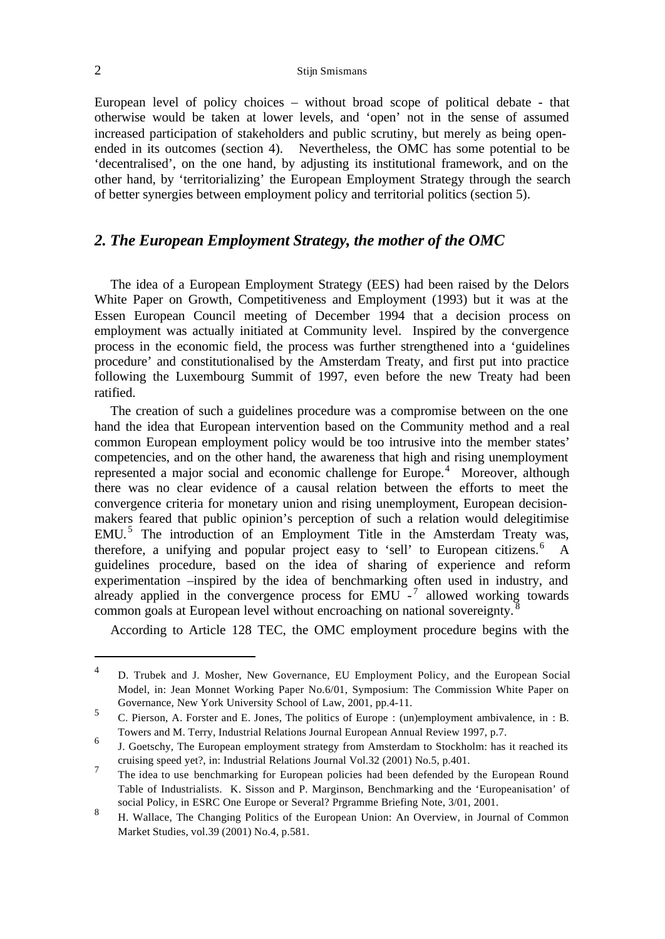### 2 Stijn Smismans

European level of policy choices – without broad scope of political debate - that otherwise would be taken at lower levels, and 'open' not in the sense of assumed increased participation of stakeholders and public scrutiny, but merely as being openended in its outcomes (section 4). Nevertheless, the OMC has some potential to be 'decentralised', on the one hand, by adjusting its institutional framework, and on the other hand, by 'territorializing' the European Employment Strategy through the search of better synergies between employment policy and territorial politics (section 5).

# *2. The European Employment Strategy, the mother of the OMC*

The idea of a European Employment Strategy (EES) had been raised by the Delors White Paper on Growth, Competitiveness and Employment (1993) but it was at the Essen European Council meeting of December 1994 that a decision process on employment was actually initiated at Community level. Inspired by the convergence process in the economic field, the process was further strengthened into a 'guidelines procedure' and constitutionalised by the Amsterdam Treaty, and first put into practice following the Luxembourg Summit of 1997, even before the new Treaty had been ratified.

The creation of such a guidelines procedure was a compromise between on the one hand the idea that European intervention based on the Community method and a real common European employment policy would be too intrusive into the member states' competencies, and on the other hand, the awareness that high and rising unemployment represented a major social and economic challenge for Europe.<sup>4</sup> Moreover, although there was no clear evidence of a causal relation between the efforts to meet the convergence criteria for monetary union and rising unemployment, European decisionmakers feared that public opinion's perception of such a relation would delegitimise EMU.<sup>5</sup> The introduction of an Employment Title in the Amsterdam Treaty was, therefore, a unifying and popular project easy to 'sell' to European citizens.<sup>6</sup> A guidelines procedure, based on the idea of sharing of experience and reform experimentation –inspired by the idea of benchmarking often used in industry, and already applied in the convergence process for  $EMU$ <sup>-7</sup> allowed working towards common goals at European level without encroaching on national sovereignty.

According to Article 128 TEC, the OMC employment procedure begins with the

<sup>4</sup> D. Trubek and J. Mosher, New Governance, EU Employment Policy, and the European Social Model, in: Jean Monnet Working Paper No.6/01, Symposium: The Commission White Paper on Governance, New York University School of Law, 2001, pp.4-11.

<sup>5</sup> C. Pierson, A. Forster and E. Jones, The politics of Europe : (un)employment ambivalence, in : B. Towers and M. Terry, Industrial Relations Journal European Annual Review 1997, p.7.

<sup>6</sup> J. Goetschy, The European employment strategy from Amsterdam to Stockholm: has it reached its cruising speed yet?, in: Industrial Relations Journal Vol.32 (2001) No.5, p.401.

<sup>7</sup> The idea to use benchmarking for European policies had been defended by the European Round Table of Industrialists. K. Sisson and P. Marginson, Benchmarking and the 'Europeanisation' of social Policy, in ESRC One Europe or Several? Prgramme Briefing Note, 3/01, 2001.

<sup>8</sup> H. Wallace, The Changing Politics of the European Union: An Overview, in Journal of Common Market Studies, vol.39 (2001) No.4, p.581.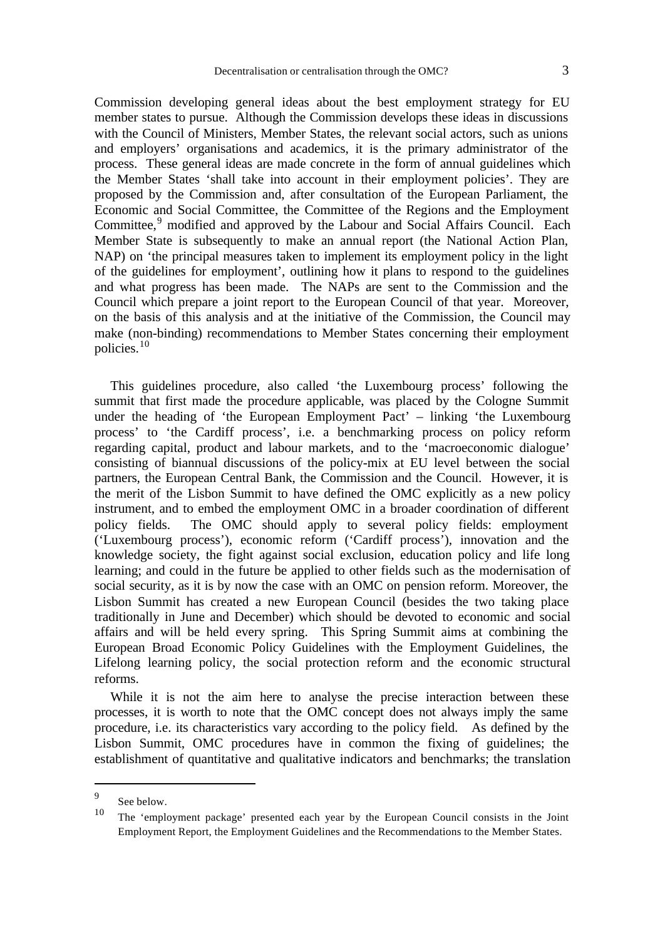Commission developing general ideas about the best employment strategy for EU member states to pursue. Although the Commission develops these ideas in discussions with the Council of Ministers, Member States, the relevant social actors, such as unions and employers' organisations and academics, it is the primary administrator of the process. These general ideas are made concrete in the form of annual guidelines which the Member States 'shall take into account in their employment policies'. They are proposed by the Commission and, after consultation of the European Parliament, the Economic and Social Committee, the Committee of the Regions and the Employment Committee,<sup>9</sup> modified and approved by the Labour and Social Affairs Council. Each Member State is subsequently to make an annual report (the National Action Plan, NAP) on 'the principal measures taken to implement its employment policy in the light of the guidelines for employment', outlining how it plans to respond to the guidelines and what progress has been made. The NAPs are sent to the Commission and the Council which prepare a joint report to the European Council of that year. Moreover, on the basis of this analysis and at the initiative of the Commission, the Council may make (non-binding) recommendations to Member States concerning their employment policies.<sup>10</sup>

This guidelines procedure, also called 'the Luxembourg process' following the summit that first made the procedure applicable, was placed by the Cologne Summit under the heading of 'the European Employment Pact' – linking 'the Luxembourg process' to 'the Cardiff process', i.e. a benchmarking process on policy reform regarding capital, product and labour markets, and to the 'macroeconomic dialogue' consisting of biannual discussions of the policy-mix at EU level between the social partners, the European Central Bank, the Commission and the Council. However, it is the merit of the Lisbon Summit to have defined the OMC explicitly as a new policy instrument, and to embed the employment OMC in a broader coordination of different policy fields. The OMC should apply to several policy fields: employment ('Luxembourg process'), economic reform ('Cardiff process'), innovation and the knowledge society, the fight against social exclusion, education policy and life long learning; and could in the future be applied to other fields such as the modernisation of social security, as it is by now the case with an OMC on pension reform. Moreover, the Lisbon Summit has created a new European Council (besides the two taking place traditionally in June and December) which should be devoted to economic and social affairs and will be held every spring. This Spring Summit aims at combining the European Broad Economic Policy Guidelines with the Employment Guidelines, the Lifelong learning policy, the social protection reform and the economic structural reforms.

While it is not the aim here to analyse the precise interaction between these processes, it is worth to note that the OMC concept does not always imply the same procedure, i.e. its characteristics vary according to the policy field. As defined by the Lisbon Summit, OMC procedures have in common the fixing of guidelines; the establishment of quantitative and qualitative indicators and benchmarks; the translation

<sup>9</sup> See below.

<sup>10</sup> The 'employment package' presented each year by the European Council consists in the Joint Employment Report, the Employment Guidelines and the Recommendations to the Member States.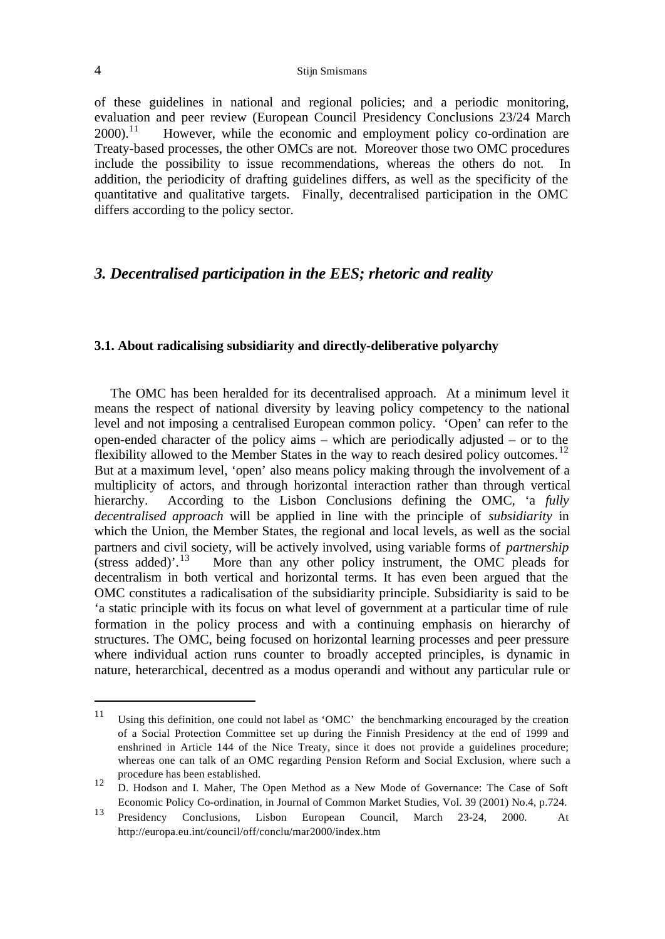### 4 Stijn Smismans

of these guidelines in national and regional policies; and a periodic monitoring, evaluation and peer review (European Council Presidency Conclusions 23/24 March  $2000$ <sup>11</sup> However, while the economic and employment policy co-ordination are Treaty-based processes, the other OMCs are not. Moreover those two OMC procedures include the possibility to issue recommendations, whereas the others do not. In addition, the periodicity of drafting guidelines differs, as well as the specificity of the quantitative and qualitative targets. Finally, decentralised participation in the OMC differs according to the policy sector.

# *3. Decentralised participation in the EES; rhetoric and reality*

#### **3.1. About radicalising subsidiarity and directly-deliberative polyarchy**

The OMC has been heralded for its decentralised approach. At a minimum level it means the respect of national diversity by leaving policy competency to the national level and not imposing a centralised European common policy. 'Open' can refer to the open-ended character of the policy aims – which are periodically adjusted – or to the flexibility allowed to the Member States in the way to reach desired policy outcomes.<sup>12</sup> But at a maximum level, 'open' also means policy making through the involvement of a multiplicity of actors, and through horizontal interaction rather than through vertical hierarchy. According to the Lisbon Conclusions defining the OMC, 'a *fully decentralised approach* will be applied in line with the principle of *subsidiarity* in which the Union, the Member States, the regional and local levels, as well as the social partners and civil society, will be actively involved, using variable forms of *partnership* (stress added)'.<sup>13</sup> More than any other policy instrument, the OMC pleads for decentralism in both vertical and horizontal terms. It has even been argued that the OMC constitutes a radicalisation of the subsidiarity principle. Subsidiarity is said to be 'a static principle with its focus on what level of government at a particular time of rule formation in the policy process and with a continuing emphasis on hierarchy of structures. The OMC, being focused on horizontal learning processes and peer pressure where individual action runs counter to broadly accepted principles, is dynamic in nature, heterarchical, decentred as a modus operandi and without any particular rule or

<sup>11</sup> Using this definition, one could not label as 'OMC' the benchmarking encouraged by the creation of a Social Protection Committee set up during the Finnish Presidency at the end of 1999 and enshrined in Article 144 of the Nice Treaty, since it does not provide a guidelines procedure; whereas one can talk of an OMC regarding Pension Reform and Social Exclusion, where such a procedure has been established.

<sup>12</sup> D. Hodson and I. Maher, The Open Method as a New Mode of Governance: The Case of Soft Economic Policy Co-ordination, in Journal of Common Market Studies, Vol. 39 (2001) No.4, p.724.

<sup>13</sup> Presidency Conclusions, Lisbon European Council, March 23-24, 2000. At http://europa.eu.int/council/off/conclu/mar2000/index.htm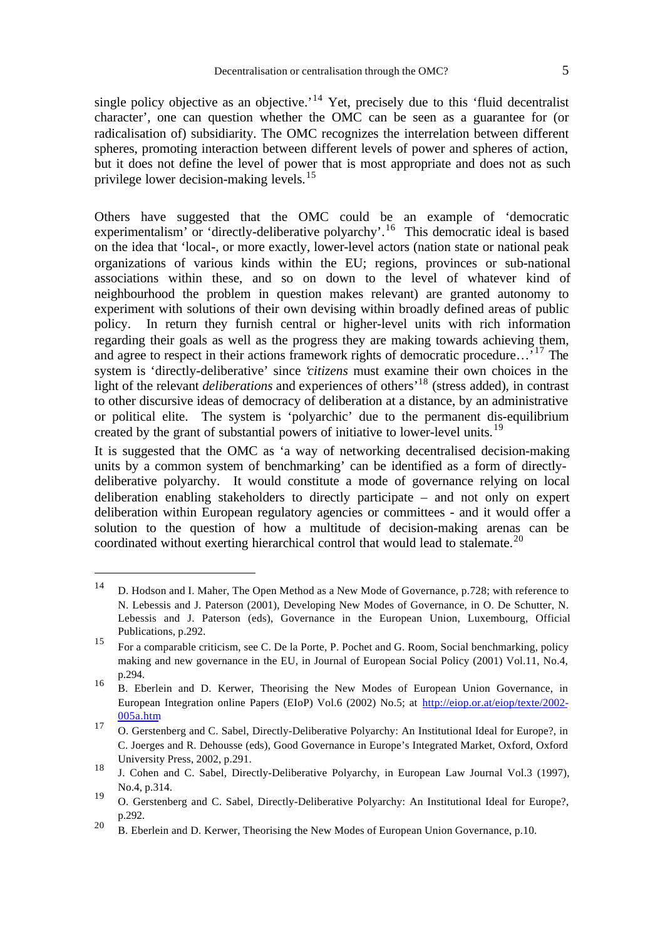single policy objective as an objective.<sup> $14$ </sup> Yet, precisely due to this 'fluid decentralist character', one can question whether the OMC can be seen as a guarantee for (or radicalisation of) subsidiarity. The OMC recognizes the interrelation between different spheres, promoting interaction between different levels of power and spheres of action, but it does not define the level of power that is most appropriate and does not as such privilege lower decision-making levels.<sup>15</sup>

Others have suggested that the OMC could be an example of 'democratic experimentalism' or 'directly-deliberative polyarchy'.<sup>16</sup> This democratic ideal is based on the idea that 'local-, or more exactly, lower-level actors (nation state or national peak organizations of various kinds within the EU; regions, provinces or sub-national associations within these, and so on down to the level of whatever kind of neighbourhood the problem in question makes relevant) are granted autonomy to experiment with solutions of their own devising within broadly defined areas of public policy. In return they furnish central or higher-level units with rich information regarding their goals as well as the progress they are making towards achieving them, and agree to respect in their actions framework rights of democratic procedure...<sup>17</sup> The system is 'directly-deliberative' since '*citizens* must examine their own choices in the light of the relevant *deliberations* and experiences of others<sup>18</sup> (stress added), in contrast to other discursive ideas of democracy of deliberation at a distance, by an administrative or political elite. The system is 'polyarchic' due to the permanent dis-equilibrium created by the grant of substantial powers of initiative to lower-level units.<sup>19</sup>

It is suggested that the OMC as 'a way of networking decentralised decision-making units by a common system of benchmarking' can be identified as a form of directlydeliberative polyarchy. It would constitute a mode of governance relying on local deliberation enabling stakeholders to directly participate – and not only on expert deliberation within European regulatory agencies or committees - and it would offer a solution to the question of how a multitude of decision-making arenas can be coordinated without exerting hierarchical control that would lead to stalemate.<sup>20</sup>

j

<sup>14</sup> D. Hodson and I. Maher, The Open Method as a New Mode of Governance, p.728; with reference to N. Lebessis and J. Paterson (2001), Developing New Modes of Governance, in O. De Schutter, N. Lebessis and J. Paterson (eds), Governance in the European Union, Luxembourg, Official Publications, p.292.

<sup>15</sup> For a comparable criticism, see C. De la Porte, P. Pochet and G. Room, Social benchmarking, policy making and new governance in the EU, in Journal of European Social Policy (2001) Vol.11, No.4, p.294.

<sup>16</sup> B. Eberlein and D. Kerwer, Theorising the New Modes of European Union Governance, in European Integration online Papers (EIoP) Vol.6 (2002) No.5; at http://eiop.or.at/eiop/texte/2002- 005a.htm

<sup>17</sup> O. Gerstenberg and C. Sabel, Directly-Deliberative Polyarchy: An Institutional Ideal for Europe?, in C. Joerges and R. Dehousse (eds), Good Governance in Europe's Integrated Market, Oxford, Oxford University Press, 2002, p.291.

<sup>18</sup> J. Cohen and C. Sabel, Directly-Deliberative Polyarchy, in European Law Journal Vol.3 (1997), No.4, p.314. 19

O. Gerstenberg and C. Sabel, Directly-Deliberative Polyarchy: An Institutional Ideal for Europe?, p.292.

<sup>&</sup>lt;sup>20</sup> B. Eberlein and D. Kerwer, Theorising the New Modes of European Union Governance, p.10.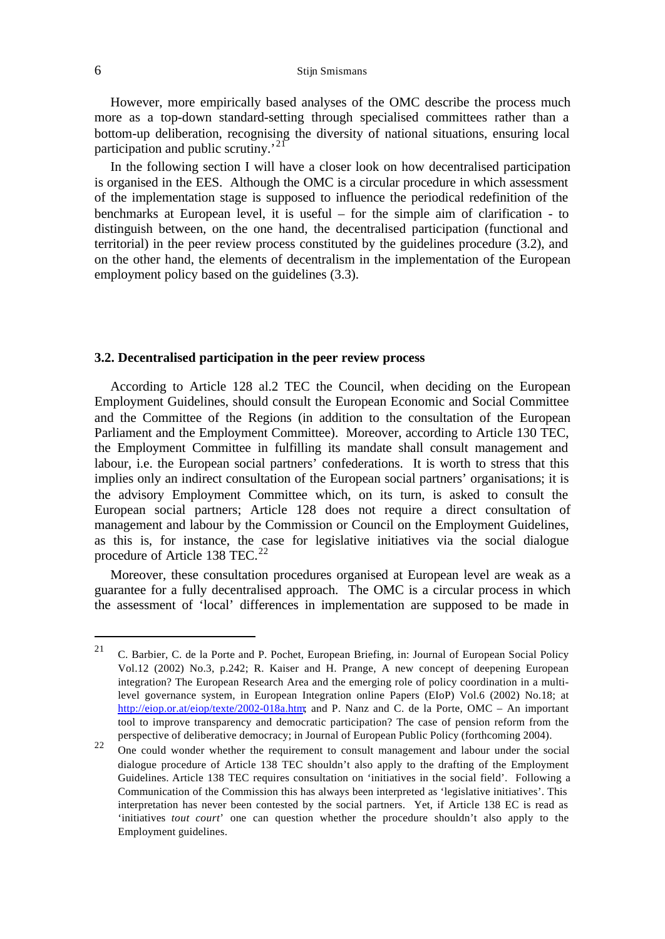However, more empirically based analyses of the OMC describe the process much more as a top-down standard-setting through specialised committees rather than a bottom-up deliberation, recognising the diversity of national situations, ensuring local participation and public scrutiny.<sup>21</sup>

In the following section I will have a closer look on how decentralised participation is organised in the EES. Although the OMC is a circular procedure in which assessment of the implementation stage is supposed to influence the periodical redefinition of the benchmarks at European level, it is useful – for the simple aim of clarification - to distinguish between, on the one hand, the decentralised participation (functional and territorial) in the peer review process constituted by the guidelines procedure (3.2), and on the other hand, the elements of decentralism in the implementation of the European employment policy based on the guidelines (3.3).

#### **3.2. Decentralised participation in the peer review process**

According to Article 128 al.2 TEC the Council, when deciding on the European Employment Guidelines, should consult the European Economic and Social Committee and the Committee of the Regions (in addition to the consultation of the European Parliament and the Employment Committee). Moreover, according to Article 130 TEC, the Employment Committee in fulfilling its mandate shall consult management and labour, i.e. the European social partners' confederations. It is worth to stress that this implies only an indirect consultation of the European social partners' organisations; it is the advisory Employment Committee which, on its turn, is asked to consult the European social partners; Article 128 does not require a direct consultation of management and labour by the Commission or Council on the Employment Guidelines, as this is, for instance, the case for legislative initiatives via the social dialogue procedure of Article 138 TEC.<sup>22</sup>

Moreover, these consultation procedures organised at European level are weak as a guarantee for a fully decentralised approach. The OMC is a circular process in which the assessment of 'local' differences in implementation are supposed to be made in

<sup>&</sup>lt;sup>21</sup> C. Barbier, C. de la Porte and P. Pochet, European Briefing, in: Journal of European Social Policy Vol.12 (2002) No.3, p.242; R. Kaiser and H. Prange, A new concept of deepening European integration? The European Research Area and the emerging role of policy coordination in a multilevel governance system, in European Integration online Papers (EIoP) Vol.6 (2002) No.18; at http://eiop.or.at/eiop/texte/2002-018a.htm; and P. Nanz and C. de la Porte, OMC – An important tool to improve transparency and democratic participation? The case of pension reform from the perspective of deliberative democracy; in Journal of European Public Policy (forthcoming 2004).

 $22$  One could wonder whether the requirement to consult management and labour under the social dialogue procedure of Article 138 TEC shouldn't also apply to the drafting of the Employment Guidelines. Article 138 TEC requires consultation on 'initiatives in the social field'. Following a Communication of the Commission this has always been interpreted as 'legislative initiatives'. This interpretation has never been contested by the social partners. Yet, if Article 138 EC is read as 'initiatives *tout court*' one can question whether the procedure shouldn't also apply to the Employment guidelines.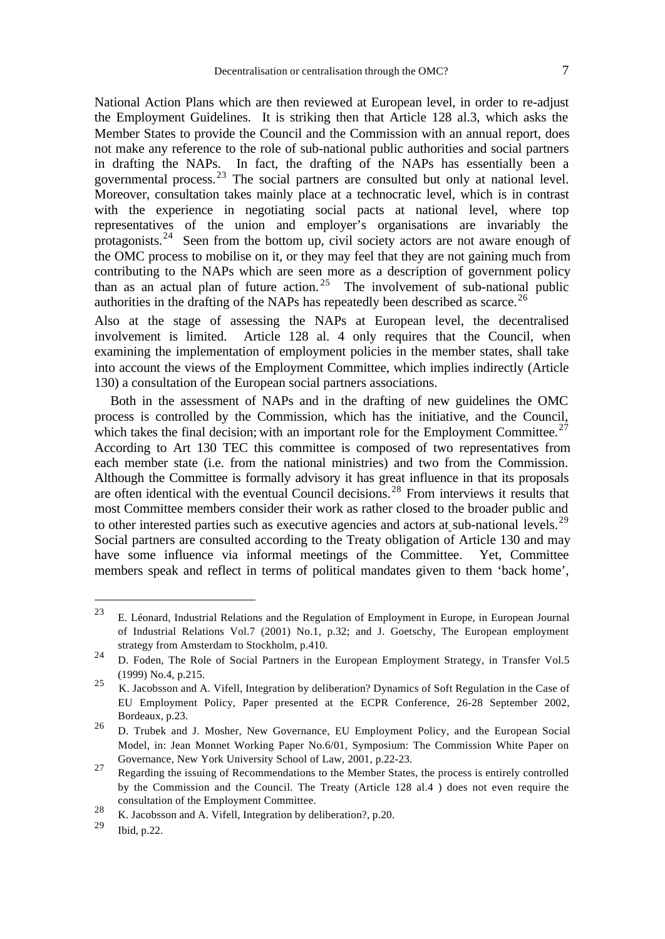National Action Plans which are then reviewed at European level, in order to re-adjust the Employment Guidelines. It is striking then that Article 128 al.3, which asks the Member States to provide the Council and the Commission with an annual report, does not make any reference to the role of sub-national public authorities and social partners in drafting the NAPs. In fact, the drafting of the NAPs has essentially been a governmental process.<sup>23</sup> The social partners are consulted but only at national level. Moreover, consultation takes mainly place at a technocratic level, which is in contrast with the experience in negotiating social pacts at national level, where top representatives of the union and employer's organisations are invariably the protagonists.<sup>24</sup> Seen from the bottom up, civil society actors are not aware enough of the OMC process to mobilise on it, or they may feel that they are not gaining much from contributing to the NAPs which are seen more as a description of government policy than as an actual plan of future action.<sup>25</sup> The involvement of sub-national public authorities in the drafting of the NAPs has repeatedly been described as scarce.<sup>26</sup>

Also at the stage of assessing the NAPs at European level, the decentralised involvement is limited. Article 128 al. 4 only requires that the Council, when examining the implementation of employment policies in the member states, shall take into account the views of the Employment Committee, which implies indirectly (Article 130) a consultation of the European social partners associations.

Both in the assessment of NAPs and in the drafting of new guidelines the OMC process is controlled by the Commission, which has the initiative, and the Council, which takes the final decision; with an important role for the Employment Committee.<sup>27</sup> According to Art 130 TEC this committee is composed of two representatives from each member state (i.e. from the national ministries) and two from the Commission. Although the Committee is formally advisory it has great influence in that its proposals are often identical with the eventual Council decisions.<sup>28</sup> From interviews it results that most Committee members consider their work as rather closed to the broader public and to other interested parties such as executive agencies and actors at sub-national levels.<sup>29</sup> Social partners are consulted according to the Treaty obligation of Article 130 and may have some influence via informal meetings of the Committee. Yet, Committee members speak and reflect in terms of political mandates given to them 'back home',

<sup>23</sup> E. Léonard, Industrial Relations and the Regulation of Employment in Europe, in European Journal of Industrial Relations Vol.7 (2001) No.1, p.32; and J. Goetschy, The European employment strategy from Amsterdam to Stockholm, p.410.

<sup>24</sup> D. Foden, The Role of Social Partners in the European Employment Strategy, in Transfer Vol.5 (1999) No.4, p.215.

<sup>25</sup> K. Jacobsson and A. Vifell, Integration by deliberation? Dynamics of Soft Regulation in the Case of EU Employment Policy, Paper presented at the ECPR Conference, 26-28 September 2002, Bordeaux, p.23. 26

D. Trubek and J. Mosher, New Governance, EU Employment Policy, and the European Social Model, in: Jean Monnet Working Paper No.6/01, Symposium: The Commission White Paper on Governance, New York University School of Law, 2001, p.22-23.

<sup>27</sup> Regarding the issuing of Recommendations to the Member States, the process is entirely controlled by the Commission and the Council. The Treaty (Article 128 al.4 ) does not even require the consultation of the Employment Committee.

<sup>28</sup> K. Jacobsson and A. Vifell, Integration by deliberation?, p.20.

<sup>29</sup> Ibid, p.22.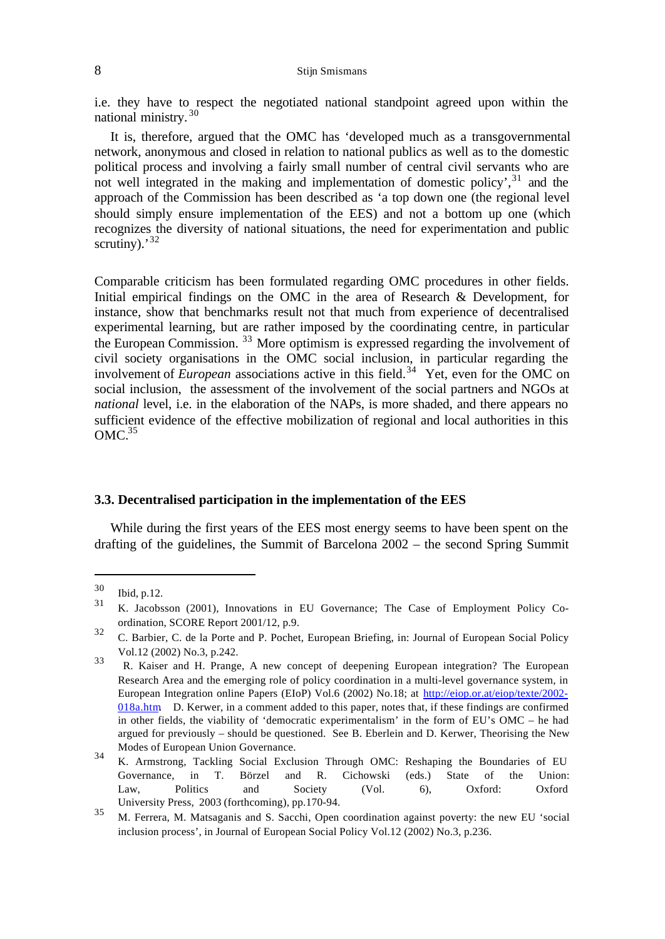### 8 Stijn Smismans

i.e. they have to respect the negotiated national standpoint agreed upon within the national ministry. <sup>30</sup>

It is, therefore, argued that the OMC has 'developed much as a transgovernmental network, anonymous and closed in relation to national publics as well as to the domestic political process and involving a fairly small number of central civil servants who are not well integrated in the making and implementation of domestic policy', $31$  and the approach of the Commission has been described as 'a top down one (the regional level should simply ensure implementation of the EES) and not a bottom up one (which recognizes the diversity of national situations, the need for experimentation and public scrutiny).<sup>32</sup>

Comparable criticism has been formulated regarding OMC procedures in other fields. Initial empirical findings on the OMC in the area of Research & Development, for instance, show that benchmarks result not that much from experience of decentralised experimental learning, but are rather imposed by the coordinating centre, in particular the European Commission. <sup>33</sup> More optimism is expressed regarding the involvement of civil society organisations in the OMC social inclusion, in particular regarding the involvement of *European* associations active in this field.<sup>34</sup> Yet, even for the OMC on social inclusion, the assessment of the involvement of the social partners and NGOs at *national* level, i.e. in the elaboration of the NAPs, is more shaded, and there appears no sufficient evidence of the effective mobilization of regional and local authorities in this  $OMC<sup>35</sup>$ 

#### **3.3. Decentralised participation in the implementation of the EES**

While during the first years of the EES most energy seems to have been spent on the drafting of the guidelines, the Summit of Barcelona 2002 – the second Spring Summit

j

<sup>30</sup>  $\frac{30}{31}$  Ibid, p.12.

<sup>31</sup> K. Jacobsson (2001), Innovations in EU Governance; The Case of Employment Policy Coordination, SCORE Report 2001/12, p.9.

<sup>32</sup> C. Barbier, C. de la Porte and P. Pochet, European Briefing, in: Journal of European Social Policy Vol.12 (2002) No.3, p.242.

<sup>33</sup> R. Kaiser and H. Prange, A new concept of deepening European integration? The European Research Area and the emerging role of policy coordination in a multi-level governance system, in European Integration online Papers (EIoP) Vol.6 (2002) No.18; at http://eiop.or.at/eiop/texte/2002- 018a.htm. D. Kerwer, in a comment added to this paper, notes that, if these findings are confirmed in other fields, the viability of 'democratic experimentalism' in the form of EU's OMC – he had argued for previously – should be questioned. See B. Eberlein and D. Kerwer, Theorising the New Modes of European Union Governance.

<sup>34</sup> K. Armstrong, Tackling Social Exclusion Through OMC: Reshaping the Boundaries of EU Governance, in T. Börzel and R. Cichowski (eds.) State of the Union: Law, Politics and Society (Vol. 6), Oxford: Oxford University Press, 2003 (forthcoming), pp.170-94.

<sup>35</sup> M. Ferrera, M. Matsaganis and S. Sacchi, Open coordination against poverty: the new EU 'social inclusion process', in Journal of European Social Policy Vol.12 (2002) No.3, p.236.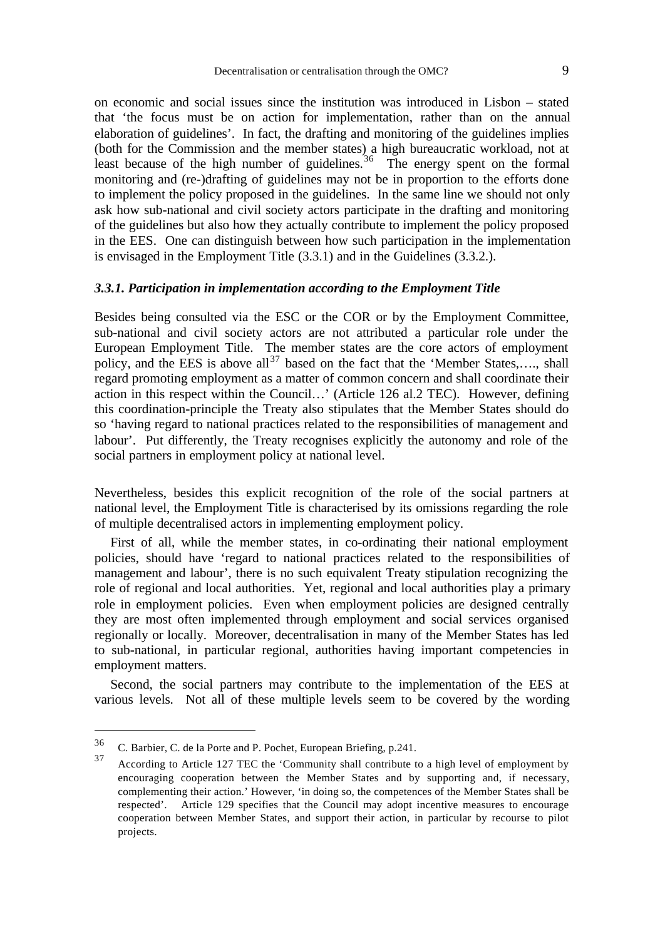on economic and social issues since the institution was introduced in Lisbon – stated that 'the focus must be on action for implementation, rather than on the annual elaboration of guidelines'. In fact, the drafting and monitoring of the guidelines implies (both for the Commission and the member states) a high bureaucratic workload, not at least because of the high number of guidelines.<sup>36</sup> The energy spent on the formal monitoring and (re-)drafting of guidelines may not be in proportion to the efforts done to implement the policy proposed in the guidelines. In the same line we should not only ask how sub-national and civil society actors participate in the drafting and monitoring of the guidelines but also how they actually contribute to implement the policy proposed in the EES. One can distinguish between how such participation in the implementation is envisaged in the Employment Title (3.3.1) and in the Guidelines (3.3.2.).

#### *3.3.1. Participation in implementation according to the Employment Title*

Besides being consulted via the ESC or the COR or by the Employment Committee, sub-national and civil society actors are not attributed a particular role under the European Employment Title. The member states are the core actors of employment policy, and the EES is above all<sup>37</sup> based on the fact that the 'Member States,...., shall regard promoting employment as a matter of common concern and shall coordinate their action in this respect within the Council…' (Article 126 al.2 TEC). However, defining this coordination-principle the Treaty also stipulates that the Member States should do so 'having regard to national practices related to the responsibilities of management and labour'. Put differently, the Treaty recognises explicitly the autonomy and role of the social partners in employment policy at national level.

Nevertheless, besides this explicit recognition of the role of the social partners at national level, the Employment Title is characterised by its omissions regarding the role of multiple decentralised actors in implementing employment policy.

First of all, while the member states, in co-ordinating their national employment policies, should have 'regard to national practices related to the responsibilities of management and labour', there is no such equivalent Treaty stipulation recognizing the role of regional and local authorities. Yet, regional and local authorities play a primary role in employment policies. Even when employment policies are designed centrally they are most often implemented through employment and social services organised regionally or locally. Moreover, decentralisation in many of the Member States has led to sub-national, in particular regional, authorities having important competencies in employment matters.

Second, the social partners may contribute to the implementation of the EES at various levels. Not all of these multiple levels seem to be covered by the wording

<sup>36</sup> C. Barbier, C. de la Porte and P. Pochet, European Briefing, p.241.

<sup>37</sup> According to Article 127 TEC the 'Community shall contribute to a high level of employment by encouraging cooperation between the Member States and by supporting and, if necessary, complementing their action.' However, 'in doing so, the competences of the Member States shall be respected'. Article 129 specifies that the Council may adopt incentive measures to encourage cooperation between Member States, and support their action, in particular by recourse to pilot projects.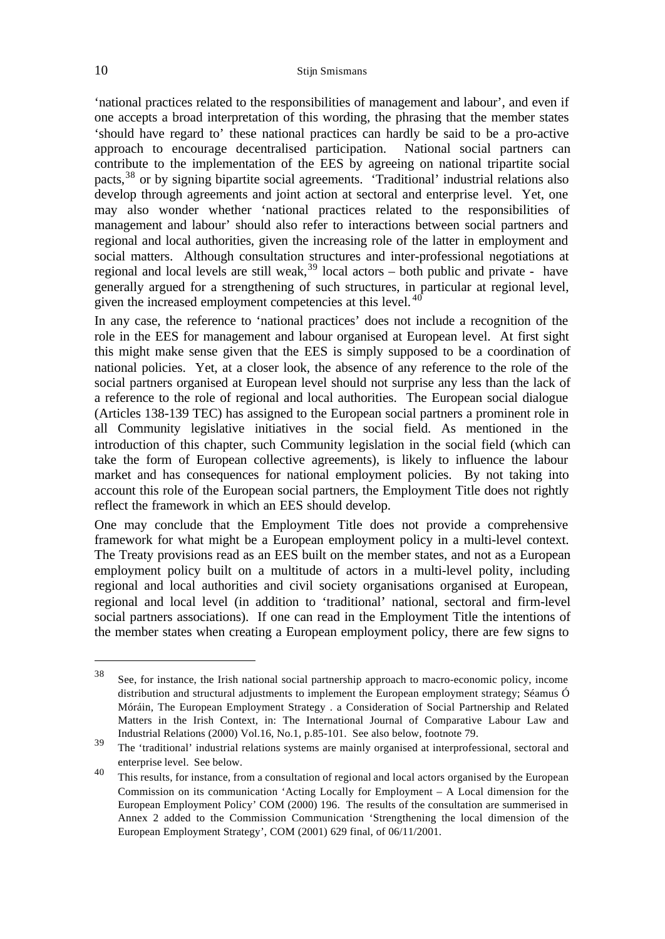'national practices related to the responsibilities of management and labour', and even if one accepts a broad interpretation of this wording, the phrasing that the member states 'should have regard to' these national practices can hardly be said to be a pro-active approach to encourage decentralised participation. National social partners can contribute to the implementation of the EES by agreeing on national tripartite social pacts,<sup>38</sup> or by signing bipartite social agreements. 'Traditional' industrial relations also develop through agreements and joint action at sectoral and enterprise level. Yet, one may also wonder whether 'national practices related to the responsibilities of management and labour' should also refer to interactions between social partners and regional and local authorities, given the increasing role of the latter in employment and social matters. Although consultation structures and inter-professional negotiations at regional and local levels are still weak,  $39$  local actors – both public and private - have generally argued for a strengthening of such structures, in particular at regional level, given the increased employment competencies at this level. <sup>40</sup>

In any case, the reference to 'national practices' does not include a recognition of the role in the EES for management and labour organised at European level. At first sight this might make sense given that the EES is simply supposed to be a coordination of national policies. Yet, at a closer look, the absence of any reference to the role of the social partners organised at European level should not surprise any less than the lack of a reference to the role of regional and local authorities. The European social dialogue (Articles 138-139 TEC) has assigned to the European social partners a prominent role in all Community legislative initiatives in the social field. As mentioned in the introduction of this chapter, such Community legislation in the social field (which can take the form of European collective agreements), is likely to influence the labour market and has consequences for national employment policies. By not taking into account this role of the European social partners, the Employment Title does not rightly reflect the framework in which an EES should develop.

One may conclude that the Employment Title does not provide a comprehensive framework for what might be a European employment policy in a multi-level context. The Treaty provisions read as an EES built on the member states, and not as a European employment policy built on a multitude of actors in a multi-level polity, including regional and local authorities and civil society organisations organised at European, regional and local level (in addition to 'traditional' national, sectoral and firm-level social partners associations). If one can read in the Employment Title the intentions of the member states when creating a European employment policy, there are few signs to

<sup>38</sup> See, for instance, the Irish national social partnership approach to macro-economic policy, income distribution and structural adjustments to implement the European employment strategy; Séamus Ó Móráin, The European Employment Strategy . a Consideration of Social Partnership and Related Matters in the Irish Context, in: The International Journal of Comparative Labour Law and Industrial Relations (2000) Vol.16, No.1, p.85-101. See also below, footnote 79.

<sup>39</sup> The 'traditional' industrial relations systems are mainly organised at interprofessional, sectoral and enterprise level. See below.

<sup>40</sup> This results, for instance, from a consultation of regional and local actors organised by the European Commission on its communication 'Acting Locally for Employment – A Local dimension for the European Employment Policy' COM (2000) 196. The results of the consultation are summerised in Annex 2 added to the Commission Communication 'Strengthening the local dimension of the European Employment Strategy', COM (2001) 629 final, of 06/11/2001.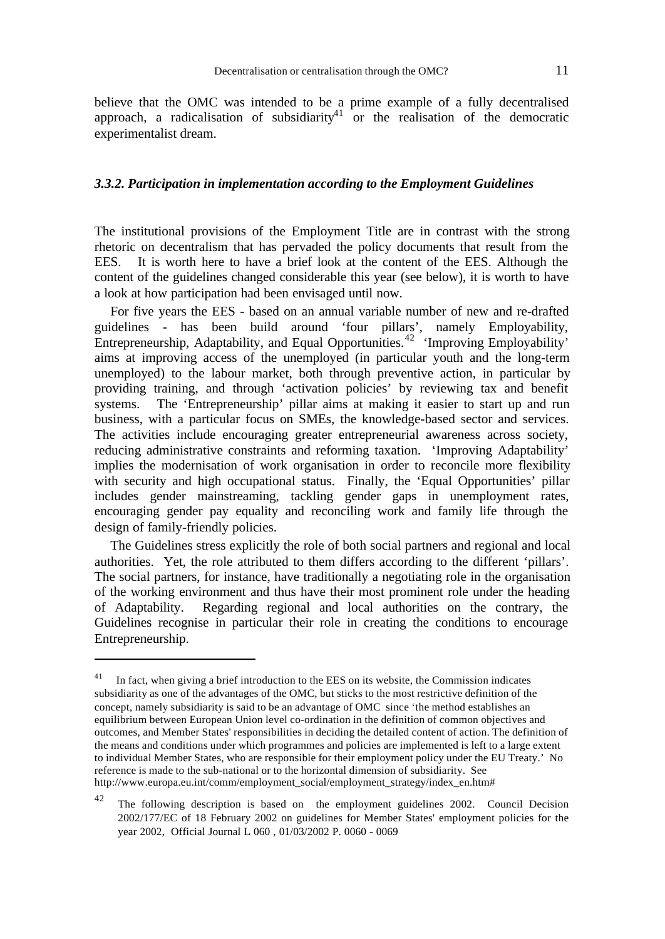believe that the OMC was intended to be a prime example of a fully decentralised approach, a radicalisation of subsidiarity<sup>41</sup> or the realisation of the democratic experimentalist dream.

#### *3.3.2. Participation in implementation according to the Employment Guidelines*

The institutional provisions of the Employment Title are in contrast with the strong rhetoric on decentralism that has pervaded the policy documents that result from the EES. It is worth here to have a brief look at the content of the EES. Although the content of the guidelines changed considerable this year (see below), it is worth to have a look at how participation had been envisaged until now.

For five years the EES - based on an annual variable number of new and re-drafted guidelines - has been build around 'four pillars', namely Employability, Entrepreneurship, Adaptability, and Equal Opportunities.<sup>42</sup> 'Improving Employability' aims at improving access of the unemployed (in particular youth and the long-term unemployed) to the labour market, both through preventive action, in particular by providing training, and through 'activation policies' by reviewing tax and benefit systems. The 'Entrepreneurship' pillar aims at making it easier to start up and run business, with a particular focus on SMEs, the knowledge-based sector and services. The activities include encouraging greater entrepreneurial awareness across society, reducing administrative constraints and reforming taxation. 'Improving Adaptability' implies the modernisation of work organisation in order to reconcile more flexibility with security and high occupational status. Finally, the 'Equal Opportunities' pillar includes gender mainstreaming, tackling gender gaps in unemployment rates, encouraging gender pay equality and reconciling work and family life through the design of family-friendly policies.

The Guidelines stress explicitly the role of both social partners and regional and local authorities. Yet, the role attributed to them differs according to the different 'pillars'. The social partners, for instance, have traditionally a negotiating role in the organisation of the working environment and thus have their most prominent role under the heading of Adaptability. Regarding regional and local authorities on the contrary, the Guidelines recognise in particular their role in creating the conditions to encourage Entrepreneurship.

 $41$  In fact, when giving a brief introduction to the EES on its website, the Commission indicates subsidiarity as one of the advantages of the OMC, but sticks to the most restrictive definition of the concept, namely subsidiarity is said to be an advantage of OMC since 'the method establishes an equilibrium between European Union level co-ordination in the definition of common objectives and outcomes, and Member States' responsibilities in deciding the detailed content of action. The definition of the means and conditions under which programmes and policies are implemented is left to a large extent to individual Member States, who are responsible for their employment policy under the EU Treaty.' No reference is made to the sub-national or to the horizontal dimension of subsidiarity. See http://www.europa.eu.int/comm/employment\_social/employment\_strategy/index\_en.htm#

<sup>42</sup> The following description is based on the employment guidelines 2002. Council Decision 2002/177/EC of 18 February 2002 on guidelines for Member States' employment policies for the year 2002, Official Journal L 060 , 01/03/2002 P. 0060 - 0069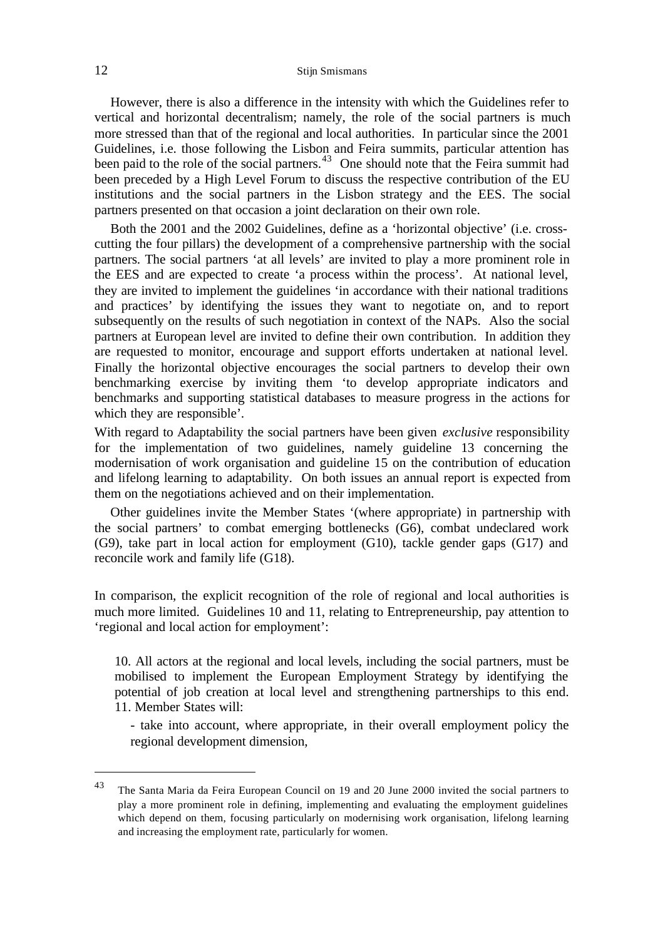### 12 Stijn Smismans

However, there is also a difference in the intensity with which the Guidelines refer to vertical and horizontal decentralism; namely, the role of the social partners is much more stressed than that of the regional and local authorities. In particular since the 2001 Guidelines, i.e. those following the Lisbon and Feira summits, particular attention has been paid to the role of the social partners. $43$  One should note that the Feira summit had been preceded by a High Level Forum to discuss the respective contribution of the EU institutions and the social partners in the Lisbon strategy and the EES. The social partners presented on that occasion a joint declaration on their own role.

Both the 2001 and the 2002 Guidelines, define as a 'horizontal objective' (i.e. crosscutting the four pillars) the development of a comprehensive partnership with the social partners. The social partners 'at all levels' are invited to play a more prominent role in the EES and are expected to create 'a process within the process'. At national level, they are invited to implement the guidelines 'in accordance with their national traditions and practices' by identifying the issues they want to negotiate on, and to report subsequently on the results of such negotiation in context of the NAPs. Also the social partners at European level are invited to define their own contribution. In addition they are requested to monitor, encourage and support efforts undertaken at national level. Finally the horizontal objective encourages the social partners to develop their own benchmarking exercise by inviting them 'to develop appropriate indicators and benchmarks and supporting statistical databases to measure progress in the actions for which they are responsible'.

With regard to Adaptability the social partners have been given *exclusive* responsibility for the implementation of two guidelines, namely guideline 13 concerning the modernisation of work organisation and guideline 15 on the contribution of education and lifelong learning to adaptability. On both issues an annual report is expected from them on the negotiations achieved and on their implementation.

Other guidelines invite the Member States '(where appropriate) in partnership with the social partners' to combat emerging bottlenecks (G6), combat undeclared work (G9), take part in local action for employment (G10), tackle gender gaps (G17) and reconcile work and family life (G18).

In comparison, the explicit recognition of the role of regional and local authorities is much more limited. Guidelines 10 and 11, relating to Entrepreneurship, pay attention to 'regional and local action for employment':

10. All actors at the regional and local levels, including the social partners, must be mobilised to implement the European Employment Strategy by identifying the potential of job creation at local level and strengthening partnerships to this end. 11. Member States will:

- take into account, where appropriate, in their overall employment policy the regional development dimension,

<sup>&</sup>lt;sup>43</sup> The Santa Maria da Feira European Council on 19 and 20 June 2000 invited the social partners to play a more prominent role in defining, implementing and evaluating the employment guidelines which depend on them, focusing particularly on modernising work organisation, lifelong learning and increasing the employment rate, particularly for women.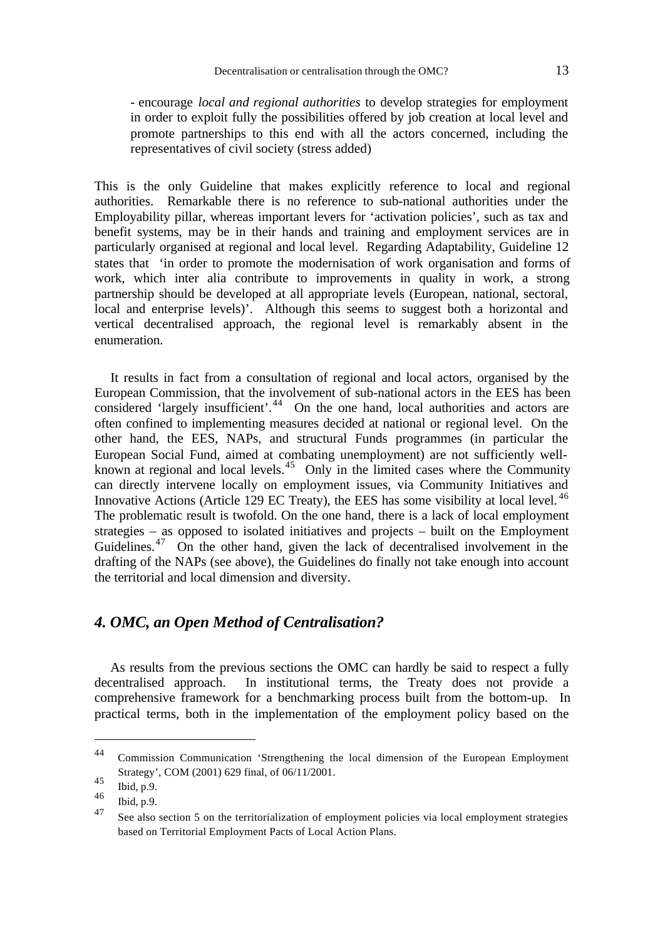- encourage *local and regional authorities* to develop strategies for employment in order to exploit fully the possibilities offered by job creation at local level and promote partnerships to this end with all the actors concerned, including the representatives of civil society (stress added)

This is the only Guideline that makes explicitly reference to local and regional authorities. Remarkable there is no reference to sub-national authorities under the Employability pillar, whereas important levers for 'activation policies', such as tax and benefit systems, may be in their hands and training and employment services are in particularly organised at regional and local level. Regarding Adaptability, Guideline 12 states that 'in order to promote the modernisation of work organisation and forms of work, which inter alia contribute to improvements in quality in work, a strong partnership should be developed at all appropriate levels (European, national, sectoral, local and enterprise levels)'. Although this seems to suggest both a horizontal and vertical decentralised approach, the regional level is remarkably absent in the enumeration.

It results in fact from a consultation of regional and local actors, organised by the European Commission, that the involvement of sub-national actors in the EES has been considered 'largely insufficient'.<sup>44</sup> On the one hand, local authorities and actors are often confined to implementing measures decided at national or regional level. On the other hand, the EES, NAPs, and structural Funds programmes (in particular the European Social Fund, aimed at combating unemployment) are not sufficiently wellknown at regional and local levels.<sup>45</sup> Only in the limited cases where the Community can directly intervene locally on employment issues, via Community Initiatives and Innovative Actions (Article 129 EC Treaty), the EES has some visibility at local level.<sup>46</sup> The problematic result is twofold. On the one hand, there is a lack of local employment strategies – as opposed to isolated initiatives and projects – built on the Employment Guidelines.<sup>47</sup> On the other hand, given the lack of decentralised involvement in the drafting of the NAPs (see above), the Guidelines do finally not take enough into account the territorial and local dimension and diversity.

## *4. OMC, an Open Method of Centralisation?*

As results from the previous sections the OMC can hardly be said to respect a fully decentralised approach. In institutional terms, the Treaty does not provide a comprehensive framework for a benchmarking process built from the bottom-up. In practical terms, both in the implementation of the employment policy based on the

<sup>44</sup> Commission Communication 'Strengthening the local dimension of the European Employment Strategy', COM (2001) 629 final, of 06/11/2001.

 $\begin{array}{c} 45 \\ 46 \end{array}$  Ibid, p.9.

 $^{46}$  Ibid, p.9.

See also section 5 on the territorialization of employment policies via local employment strategies based on Territorial Employment Pacts of Local Action Plans.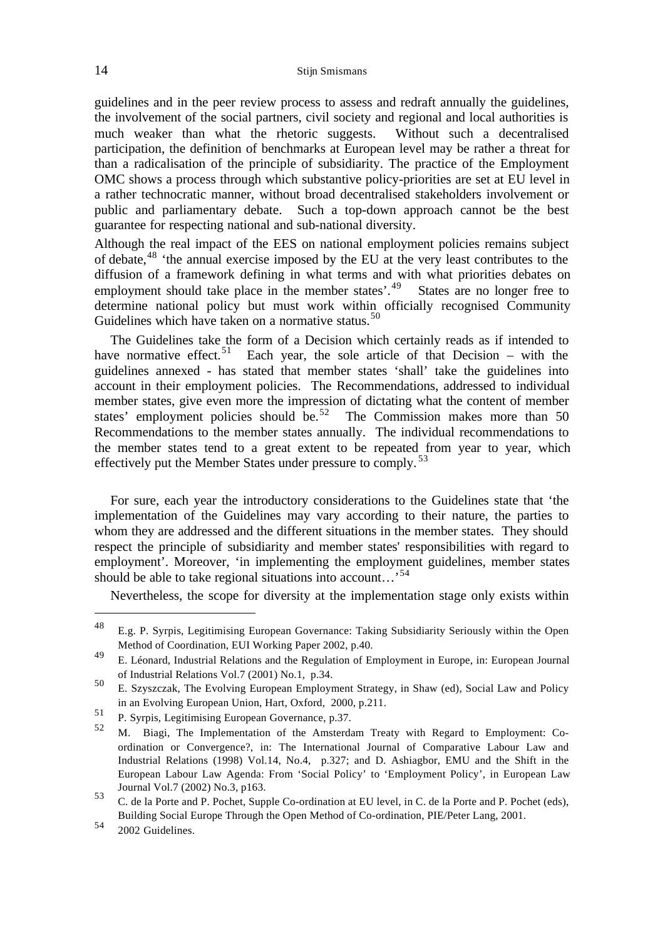guidelines and in the peer review process to assess and redraft annually the guidelines, the involvement of the social partners, civil society and regional and local authorities is much weaker than what the rhetoric suggests. Without such a decentralised participation, the definition of benchmarks at European level may be rather a threat for than a radicalisation of the principle of subsidiarity. The practice of the Employment OMC shows a process through which substantive policy-priorities are set at EU level in a rather technocratic manner, without broad decentralised stakeholders involvement or public and parliamentary debate. Such a top-down approach cannot be the best guarantee for respecting national and sub-national diversity.

Although the real impact of the EES on national employment policies remains subject of debate,<sup>48</sup> 'the annual exercise imposed by the EU at the very least contributes to the diffusion of a framework defining in what terms and with what priorities debates on employment should take place in the member states'.<sup>49</sup> States are no longer free to determine national policy but must work within officially recognised Community Guidelines which have taken on a normative status.<sup>50</sup>

The Guidelines take the form of a Decision which certainly reads as if intended to have normative effect.<sup>51</sup> Each year, the sole article of that Decision – with the guidelines annexed - has stated that member states 'shall' take the guidelines into account in their employment policies. The Recommendations, addressed to individual member states, give even more the impression of dictating what the content of member states' employment policies should be.<sup>52</sup> The Commission makes more than 50 Recommendations to the member states annually. The individual recommendations to the member states tend to a great extent to be repeated from year to year, which effectively put the Member States under pressure to comply.<sup>53</sup>

For sure, each year the introductory considerations to the Guidelines state that 'the implementation of the Guidelines may vary according to their nature, the parties to whom they are addressed and the different situations in the member states. They should respect the principle of subsidiarity and member states' responsibilities with regard to employment'. Moreover, 'in implementing the employment guidelines, member states should be able to take regional situations into account...<sup>54</sup>

Nevertheless, the scope for diversity at the implementation stage only exists within

<sup>48</sup> E.g. P. Syrpis, Legitimising European Governance: Taking Subsidiarity Seriously within the Open Method of Coordination, EUI Working Paper 2002, p.40.

<sup>49</sup> E. Léonard, Industrial Relations and the Regulation of Employment in Europe, in: European Journal of Industrial Relations Vol.7 (2001) No.1, p.34.

<sup>50</sup> E. Szyszczak, The Evolving European Employment Strategy, in Shaw (ed), Social Law and Policy in an Evolving European Union, Hart, Oxford, 2000, p.211.

<sup>51</sup> P. Syrpis, Legitimising European Governance, p.37.

<sup>52</sup> M. Biagi, The Implementation of the Amsterdam Treaty with Regard to Employment: Coordination or Convergence?, in: The International Journal of Comparative Labour Law and Industrial Relations (1998) Vol.14, No.4, p.327; and D. Ashiagbor, EMU and the Shift in the European Labour Law Agenda: From 'Social Policy' to 'Employment Policy', in European Law Journal Vol.7 (2002) No.3, p163. 53

C. de la Porte and P. Pochet, Supple Co-ordination at EU level, in C. de la Porte and P. Pochet (eds), Building Social Europe Through the Open Method of Co-ordination, PIE/Peter Lang, 2001.

<sup>54</sup> 2002 Guidelines.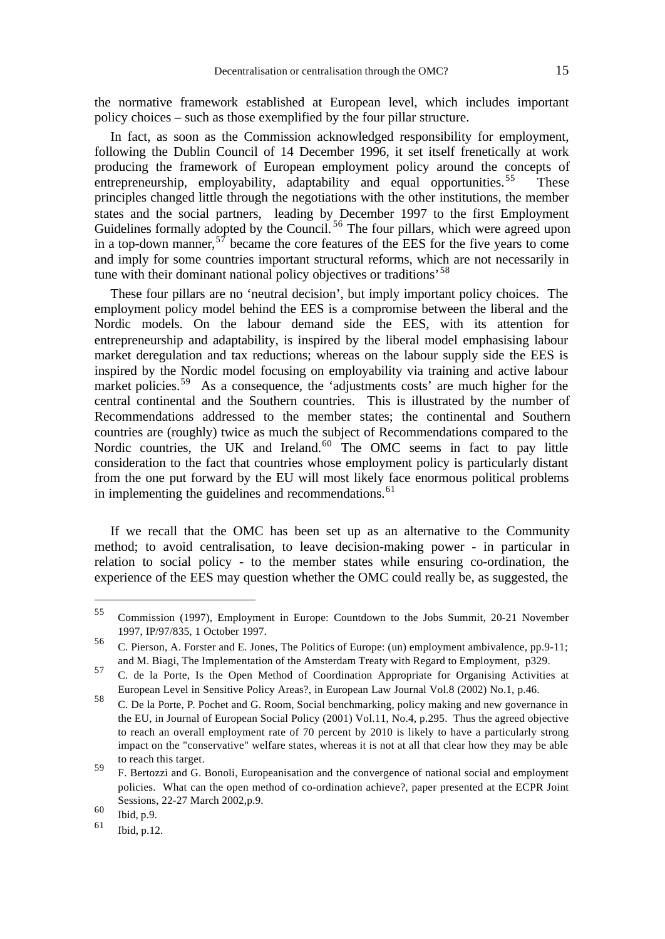the normative framework established at European level, which includes important policy choices – such as those exemplified by the four pillar structure.

In fact, as soon as the Commission acknowledged responsibility for employment, following the Dublin Council of 14 December 1996, it set itself frenetically at work producing the framework of European employment policy around the concepts of entrepreneurship, employability, adaptability and equal opportunities.<sup>55</sup> These principles changed little through the negotiations with the other institutions, the member states and the social partners, leading by December 1997 to the first Employment Guidelines formally adopted by the Council.<sup>56</sup> The four pillars, which were agreed upon in a top-down manner,  $5^{\frac{1}{7}}$  became the core features of the EES for the five years to come and imply for some countries important structural reforms, which are not necessarily in tune with their dominant national policy objectives or traditions<sup>58</sup>

These four pillars are no 'neutral decision', but imply important policy choices. The employment policy model behind the EES is a compromise between the liberal and the Nordic models. On the labour demand side the EES, with its attention for entrepreneurship and adaptability, is inspired by the liberal model emphasising labour market deregulation and tax reductions; whereas on the labour supply side the EES is inspired by the Nordic model focusing on employability via training and active labour market policies.<sup>59</sup> As a consequence, the 'adjustments costs' are much higher for the central continental and the Southern countries. This is illustrated by the number of Recommendations addressed to the member states; the continental and Southern countries are (roughly) twice as much the subject of Recommendations compared to the Nordic countries, the UK and Ireland. $60$  The OMC seems in fact to pay little consideration to the fact that countries whose employment policy is particularly distant from the one put forward by the EU will most likely face enormous political problems in implementing the guidelines and recommendations.<sup>61</sup>

If we recall that the OMC has been set up as an alternative to the Community method; to avoid centralisation, to leave decision-making power - in particular in relation to social policy - to the member states while ensuring co-ordination, the experience of the EES may question whether the OMC could really be, as suggested, the

<sup>55</sup> Commission (1997), Employment in Europe: Countdown to the Jobs Summit, 20-21 November 1997, IP/97/835, 1 October 1997.

<sup>56</sup> C. Pierson, A. Forster and E. Jones, The Politics of Europe: (un) employment ambivalence, pp.9-11; and M. Biagi, The Implementation of the Amsterdam Treaty with Regard to Employment, p329.

<sup>57</sup> C. de la Porte, Is the Open Method of Coordination Appropriate for Organising Activities at European Level in Sensitive Policy Areas?, in European Law Journal Vol.8 (2002) No.1, p.46.

<sup>58</sup> C. De la Porte, P. Pochet and G. Room, Social benchmarking, policy making and new governance in the EU, in Journal of European Social Policy (2001) Vol.11, No.4, p.295. Thus the agreed objective to reach an overall employment rate of 70 percent by 2010 is likely to have a particularly strong impact on the "conservative" welfare states, whereas it is not at all that clear how they may be able to reach this target.

<sup>59</sup> F. Bertozzi and G. Bonoli, Europeanisation and the convergence of national social and employment policies. What can the open method of co-ordination achieve?, paper presented at the ECPR Joint Sessions, 22-27 March 2002,p.9.

 $\begin{array}{c} 60 \\ 61 \end{array}$  Ibid, p.9.

Ibid, p.12.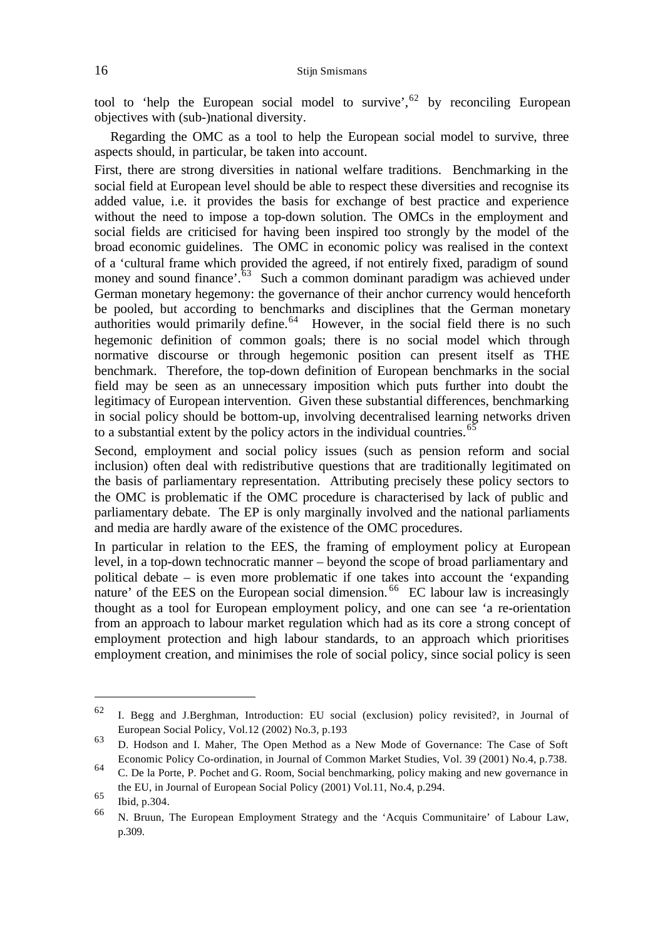tool to 'help the European social model to survive',  $62$  by reconciling European objectives with (sub-)national diversity.

Regarding the OMC as a tool to help the European social model to survive, three aspects should, in particular, be taken into account.

First, there are strong diversities in national welfare traditions. Benchmarking in the social field at European level should be able to respect these diversities and recognise its added value, i.e. it provides the basis for exchange of best practice and experience without the need to impose a top-down solution. The OMCs in the employment and social fields are criticised for having been inspired too strongly by the model of the broad economic guidelines. The OMC in economic policy was realised in the context of a 'cultural frame which provided the agreed, if not entirely fixed, paradigm of sound money and sound finance'. $63$  Such a common dominant paradigm was achieved under German monetary hegemony: the governance of their anchor currency would henceforth be pooled, but according to benchmarks and disciplines that the German monetary authorities would primarily define. $64$  However, in the social field there is no such hegemonic definition of common goals; there is no social model which through normative discourse or through hegemonic position can present itself as THE benchmark. Therefore, the top-down definition of European benchmarks in the social field may be seen as an unnecessary imposition which puts further into doubt the legitimacy of European intervention. Given these substantial differences, benchmarking in social policy should be bottom-up, involving decentralised learning networks driven to a substantial extent by the policy actors in the individual countries.<sup>65</sup>

Second, employment and social policy issues (such as pension reform and social inclusion) often deal with redistributive questions that are traditionally legitimated on the basis of parliamentary representation. Attributing precisely these policy sectors to the OMC is problematic if the OMC procedure is characterised by lack of public and parliamentary debate. The EP is only marginally involved and the national parliaments and media are hardly aware of the existence of the OMC procedures.

In particular in relation to the EES, the framing of employment policy at European level, in a top-down technocratic manner – beyond the scope of broad parliamentary and political debate – is even more problematic if one takes into account the 'expanding nature' of the EES on the European social dimension.<sup>66</sup> EC labour law is increasingly thought as a tool for European employment policy, and one can see 'a re-orientation from an approach to labour market regulation which had as its core a strong concept of employment protection and high labour standards, to an approach which prioritises employment creation, and minimises the role of social policy, since social policy is seen

<sup>62</sup> I. Begg and J.Berghman, Introduction: EU social (exclusion) policy revisited?, in Journal of European Social Policy, Vol.12 (2002) No.3, p.193

<sup>63</sup> D. Hodson and I. Maher, The Open Method as a New Mode of Governance: The Case of Soft Economic Policy Co-ordination, in Journal of Common Market Studies, Vol. 39 (2001) No.4, p.738.

<sup>64</sup> C. De la Porte, P. Pochet and G. Room, Social benchmarking, policy making and new governance in the EU, in Journal of European Social Policy (2001) Vol.11, No.4, p.294.

 $^{65}$  Ibid, p.304.

<sup>66</sup> N. Bruun, The European Employment Strategy and the 'Acquis Communitaire' of Labour Law, p.309.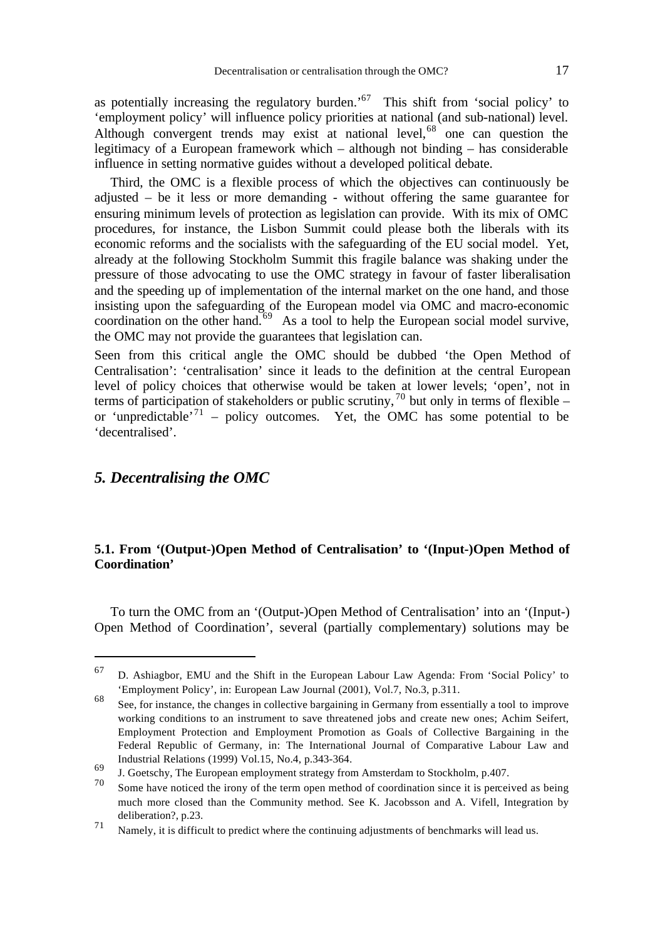as potentially increasing the regulatory burden.<sup>'67</sup> This shift from 'social policy' to 'employment policy' will influence policy priorities at national (and sub-national) level. Although convergent trends may exist at national level,  $68$  one can question the legitimacy of a European framework which – although not binding – has considerable influence in setting normative guides without a developed political debate.

Third, the OMC is a flexible process of which the objectives can continuously be adjusted – be it less or more demanding - without offering the same guarantee for ensuring minimum levels of protection as legislation can provide. With its mix of OMC procedures, for instance, the Lisbon Summit could please both the liberals with its economic reforms and the socialists with the safeguarding of the EU social model. Yet, already at the following Stockholm Summit this fragile balance was shaking under the pressure of those advocating to use the OMC strategy in favour of faster liberalisation and the speeding up of implementation of the internal market on the one hand, and those insisting upon the safeguarding of the European model via OMC and macro-economic coordination on the other hand.<sup>69</sup> As a tool to help the European social model survive, the OMC may not provide the guarantees that legislation can.

Seen from this critical angle the OMC should be dubbed 'the Open Method of Centralisation': 'centralisation' since it leads to the definition at the central European level of policy choices that otherwise would be taken at lower levels; 'open', not in terms of participation of stakeholders or public scrutiny,  $^{70}$  but only in terms of flexible – or 'unpredictable'<sup>71</sup> – policy outcomes. Yet, the OMC has some potential to be 'decentralised'.

## *5. Decentralising the OMC*

l

## **5.1. From '(Output-)Open Method of Centralisation' to '(Input-)Open Method of Coordination'**

To turn the OMC from an '(Output-)Open Method of Centralisation' into an '(Input-) Open Method of Coordination', several (partially complementary) solutions may be

<sup>67</sup> D. Ashiagbor, EMU and the Shift in the European Labour Law Agenda: From 'Social Policy' to 'Employment Policy', in: European Law Journal (2001), Vol.7, No.3, p.311.

<sup>68</sup> See, for instance, the changes in collective bargaining in Germany from essentially a tool to improve working conditions to an instrument to save threatened jobs and create new ones; Achim Seifert, Employment Protection and Employment Promotion as Goals of Collective Bargaining in the Federal Republic of Germany, in: The International Journal of Comparative Labour Law and Industrial Relations (1999) Vol.15, No.4, p.343-364.

<sup>69</sup>  $J$ . Goetschy, The European employment strategy from Amsterdam to Stockholm, p.407.

Some have noticed the irony of the term open method of coordination since it is perceived as being much more closed than the Community method. See K. Jacobsson and A. Vifell, Integration by deliberation?, p.23.

<sup>71</sup> Namely, it is difficult to predict where the continuing adjustments of benchmarks will lead us.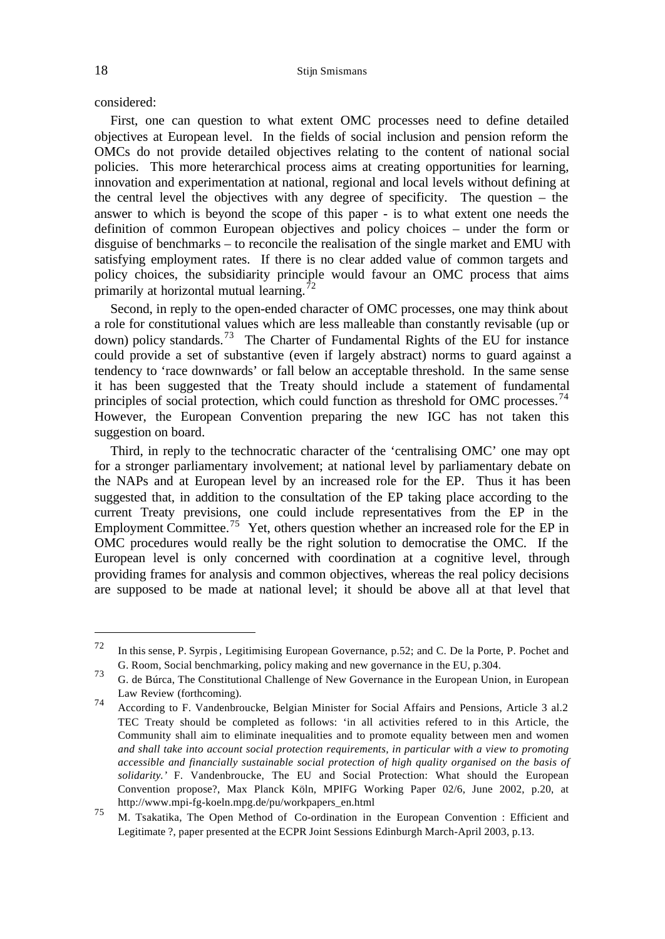considered:

First, one can question to what extent OMC processes need to define detailed objectives at European level. In the fields of social inclusion and pension reform the OMCs do not provide detailed objectives relating to the content of national social policies. This more heterarchical process aims at creating opportunities for learning, innovation and experimentation at national, regional and local levels without defining at the central level the objectives with any degree of specificity. The question – the answer to which is beyond the scope of this paper - is to what extent one needs the definition of common European objectives and policy choices – under the form or disguise of benchmarks – to reconcile the realisation of the single market and EMU with satisfying employment rates. If there is no clear added value of common targets and policy choices, the subsidiarity principle would favour an OMC process that aims primarily at horizontal mutual learning.<sup>72</sup>

Second, in reply to the open-ended character of OMC processes, one may think about a role for constitutional values which are less malleable than constantly revisable (up or down) policy standards.<sup>73</sup> The Charter of Fundamental Rights of the EU for instance could provide a set of substantive (even if largely abstract) norms to guard against a tendency to 'race downwards' or fall below an acceptable threshold. In the same sense it has been suggested that the Treaty should include a statement of fundamental principles of social protection, which could function as threshold for OMC processes.<sup>74</sup> However, the European Convention preparing the new IGC has not taken this suggestion on board.

Third, in reply to the technocratic character of the 'centralising OMC' one may opt for a stronger parliamentary involvement; at national level by parliamentary debate on the NAPs and at European level by an increased role for the EP. Thus it has been suggested that, in addition to the consultation of the EP taking place according to the current Treaty previsions, one could include representatives from the EP in the Employment Committee.<sup>75</sup> Yet, others question whether an increased role for the EP in OMC procedures would really be the right solution to democratise the OMC. If the European level is only concerned with coordination at a cognitive level, through providing frames for analysis and common objectives, whereas the real policy decisions are supposed to be made at national level; it should be above all at that level that

<sup>72</sup> In this sense, P. Syrpis, Legitimising European Governance, p.52; and C. De la Porte, P. Pochet and G. Room, Social benchmarking, policy making and new governance in the EU, p.304.

<sup>73</sup> G. de Búrca, The Constitutional Challenge of New Governance in the European Union, in European Law Review (forthcoming). 74

According to F. Vandenbroucke, Belgian Minister for Social Affairs and Pensions, Article 3 al.2 TEC Treaty should be completed as follows: 'in all activities refered to in this Article, the Community shall aim to eliminate inequalities and to promote equality between men and women *and shall take into account social protection requirements, in particular with a view to promoting accessible and financially sustainable social protection of high quality organised on the basis of solidarity.'* F. Vandenbroucke, The EU and Social Protection: What should the European Convention propose?, Max Planck Köln, MPIFG Working Paper 02/6, June 2002, p.20, at http://www.mpi-fg-koeln.mpg.de/pu/workpapers\_en.html

 $\overline{75}$  M. Tsakatika, The Open Method of Co-ordination in the European Convention : Efficient and Legitimate ?, paper presented at the ECPR Joint Sessions Edinburgh March-April 2003, p.13.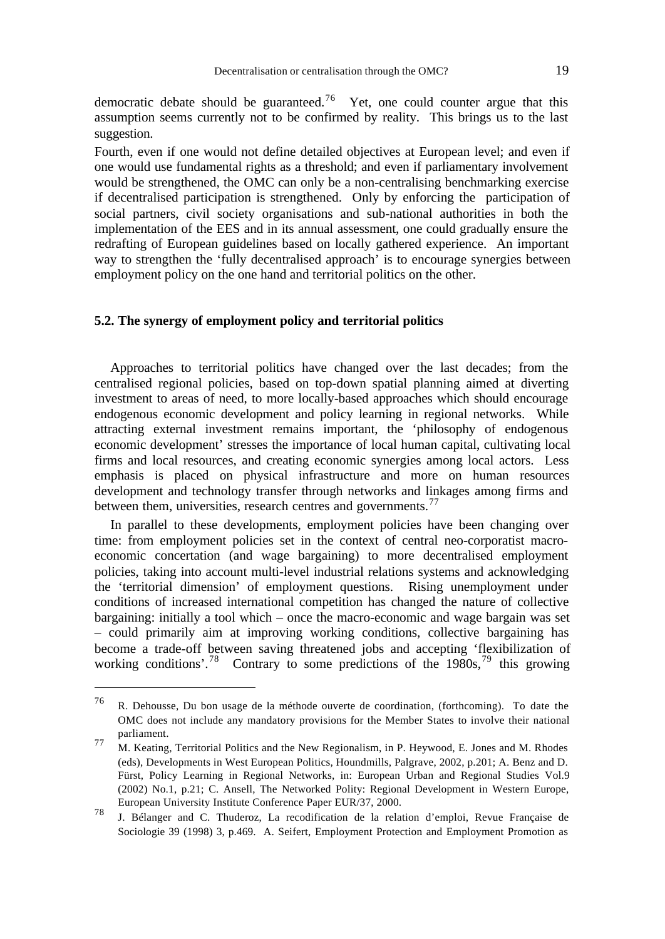democratic debate should be guaranteed.<sup>76</sup> Yet, one could counter argue that this assumption seems currently not to be confirmed by reality. This brings us to the last suggestion.

Fourth, even if one would not define detailed objectives at European level; and even if one would use fundamental rights as a threshold; and even if parliamentary involvement would be strengthened, the OMC can only be a non-centralising benchmarking exercise if decentralised participation is strengthened. Only by enforcing the participation of social partners, civil society organisations and sub-national authorities in both the implementation of the EES and in its annual assessment, one could gradually ensure the redrafting of European guidelines based on locally gathered experience. An important way to strengthen the 'fully decentralised approach' is to encourage synergies between employment policy on the one hand and territorial politics on the other.

#### **5.2. The synergy of employment policy and territorial politics**

Approaches to territorial politics have changed over the last decades; from the centralised regional policies, based on top-down spatial planning aimed at diverting investment to areas of need, to more locally-based approaches which should encourage endogenous economic development and policy learning in regional networks. While attracting external investment remains important, the 'philosophy of endogenous economic development' stresses the importance of local human capital, cultivating local firms and local resources, and creating economic synergies among local actors. Less emphasis is placed on physical infrastructure and more on human resources development and technology transfer through networks and linkages among firms and between them, universities, research centres and governments.<sup>77</sup>

In parallel to these developments, employment policies have been changing over time: from employment policies set in the context of central neo-corporatist macroeconomic concertation (and wage bargaining) to more decentralised employment policies, taking into account multi-level industrial relations systems and acknowledging the 'territorial dimension' of employment questions. Rising unemployment under conditions of increased international competition has changed the nature of collective bargaining: initially a tool which – once the macro-economic and wage bargain was set – could primarily aim at improving working conditions, collective bargaining has become a trade-off between saving threatened jobs and accepting 'flexibilization of working conditions'.<sup>78</sup> Contrary to some predictions of the  $1980s$ ,<sup>79</sup> this growing

<sup>76</sup> R. Dehousse, Du bon usage de la méthode ouverte de coordination, (forthcoming). To date the OMC does not include any mandatory provisions for the Member States to involve their national parliament.

<sup>77</sup> M. Keating, Territorial Politics and the New Regionalism, in P. Heywood, E. Jones and M. Rhodes (eds), Developments in West European Politics, Houndmills, Palgrave, 2002, p.201; A. Benz and D. Fürst, Policy Learning in Regional Networks, in: European Urban and Regional Studies Vol.9 (2002) No.1, p.21; C. Ansell, The Networked Polity: Regional Development in Western Europe, European University Institute Conference Paper EUR/37, 2000.

<sup>78</sup> J. Bélanger and C. Thuderoz, La recodification de la relation d'emploi, Revue Française de Sociologie 39 (1998) 3, p.469. A. Seifert, Employment Protection and Employment Promotion as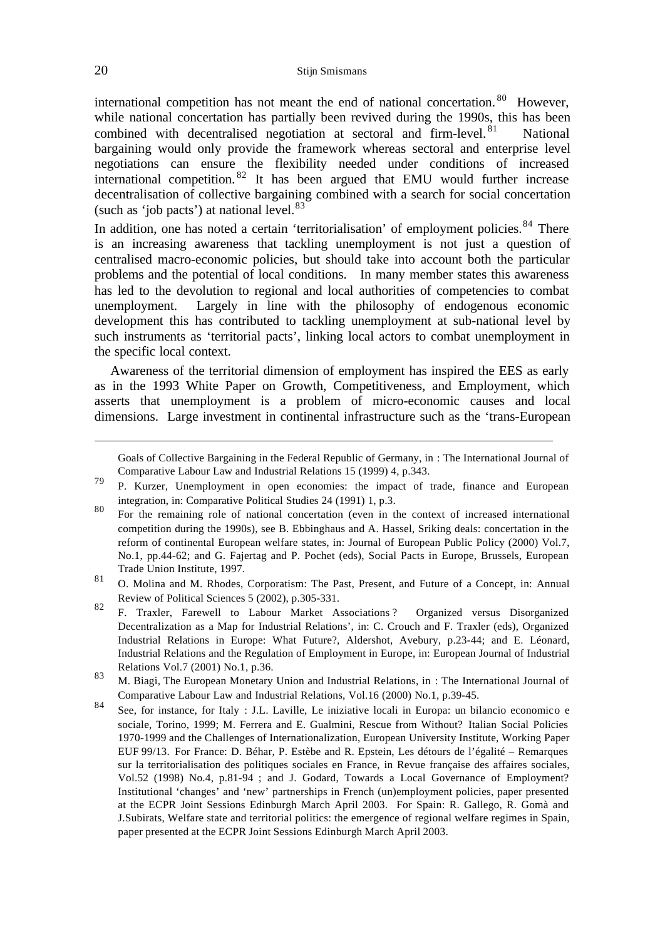international competition has not meant the end of national concertation.  $80$  However, while national concertation has partially been revived during the 1990s, this has been combined with decentralised negotiation at sectoral and firm-level.  $81$  National bargaining would only provide the framework whereas sectoral and enterprise level negotiations can ensure the flexibility needed under conditions of increased international competition. <sup>82</sup> It has been argued that EMU would further increase decentralisation of collective bargaining combined with a search for social concertation (such as 'job pacts') at national level. $83$ 

In addition, one has noted a certain 'territorialisation' of employment policies.<sup>84</sup> There is an increasing awareness that tackling unemployment is not just a question of centralised macro-economic policies, but should take into account both the particular problems and the potential of local conditions. In many member states this awareness has led to the devolution to regional and local authorities of competencies to combat unemployment. Largely in line with the philosophy of endogenous economic development this has contributed to tackling unemployment at sub-national level by such instruments as 'territorial pacts', linking local actors to combat unemployment in the specific local context.

Awareness of the territorial dimension of employment has inspired the EES as early as in the 1993 White Paper on Growth, Competitiveness, and Employment, which asserts that unemployment is a problem of micro-economic causes and local dimensions. Large investment in continental infrastructure such as the 'trans-European

Goals of Collective Bargaining in the Federal Republic of Germany, in : The International Journal of Comparative Labour Law and Industrial Relations 15 (1999) 4, p.343.

j

<sup>79</sup> P. Kurzer, Unemployment in open economies: the impact of trade, finance and European integration, in: Comparative Political Studies 24 (1991) 1, p.3.

<sup>80</sup> For the remaining role of national concertation (even in the context of increased international competition during the 1990s), see B. Ebbinghaus and A. Hassel, Sriking deals: concertation in the reform of continental European welfare states, in: Journal of European Public Policy (2000) Vol.7, No.1, pp.44-62; and G. Fajertag and P. Pochet (eds), Social Pacts in Europe, Brussels, European Trade Union Institute, 1997.

<sup>81</sup> O. Molina and M. Rhodes, Corporatism: The Past, Present, and Future of a Concept, in: Annual Review of Political Sciences 5 (2002), p.305-331.

<sup>82</sup> F. Traxler, Farewell to Labour Market Associations ? Organized versus Disorganized Decentralization as a Map for Industrial Relations', in: C. Crouch and F. Traxler (eds), Organized Industrial Relations in Europe: What Future?, Aldershot, Avebury, p.23-44; and E. Léonard, Industrial Relations and the Regulation of Employment in Europe, in: European Journal of Industrial Relations Vol.7 (2001) No.1, p.36.

<sup>83</sup> M. Biagi, The European Monetary Union and Industrial Relations, in : The International Journal of Comparative Labour Law and Industrial Relations, Vol.16 (2000) No.1, p.39-45.

<sup>84</sup> See, for instance, for Italy : J.L. Laville, Le iniziative locali in Europa: un bilancio economico e sociale, Torino, 1999; M. Ferrera and E. Gualmini, Rescue from Without? Italian Social Policies 1970-1999 and the Challenges of Internationalization, European University Institute, Working Paper EUF 99/13. For France: D. Béhar, P. Estèbe and R. Epstein, Les détours de l'égalité – Remarques sur la territorialisation des politiques sociales en France, in Revue française des affaires sociales, Vol.52 (1998) No.4, p.81-94 ; and J. Godard, Towards a Local Governance of Employment? Institutional 'changes' and 'new' partnerships in French (un)employment policies, paper presented at the ECPR Joint Sessions Edinburgh March April 2003. For Spain: R. Gallego, R. Gomà and J.Subirats, Welfare state and territorial politics: the emergence of regional welfare regimes in Spain, paper presented at the ECPR Joint Sessions Edinburgh March April 2003.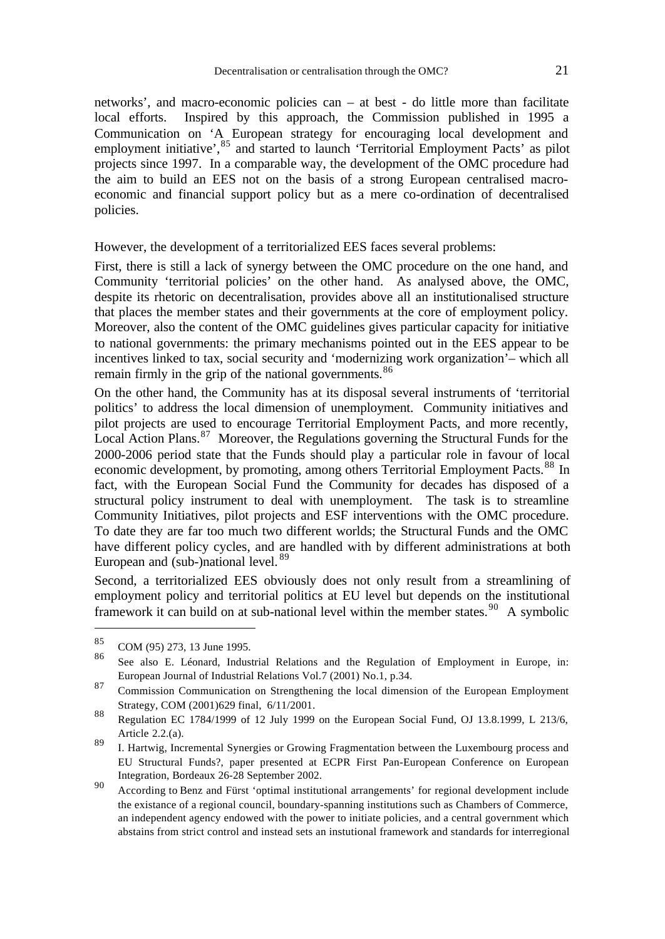networks', and macro-economic policies can – at best - do little more than facilitate local efforts. Inspired by this approach, the Commission published in 1995 a Communication on 'A European strategy for encouraging local development and employment initiative', <sup>85</sup> and started to launch 'Territorial Employment Pacts' as pilot projects since 1997. In a comparable way, the development of the OMC procedure had the aim to build an EES not on the basis of a strong European centralised macroeconomic and financial support policy but as a mere co-ordination of decentralised policies.

However, the development of a territorialized EES faces several problems:

First, there is still a lack of synergy between the OMC procedure on the one hand, and Community 'territorial policies' on the other hand. As analysed above, the OMC, despite its rhetoric on decentralisation, provides above all an institutionalised structure that places the member states and their governments at the core of employment policy. Moreover, also the content of the OMC guidelines gives particular capacity for initiative to national governments: the primary mechanisms pointed out in the EES appear to be incentives linked to tax, social security and 'modernizing work organization'– which all remain firmly in the grip of the national governments.<sup>86</sup>

On the other hand, the Community has at its disposal several instruments of 'territorial politics' to address the local dimension of unemployment. Community initiatives and pilot projects are used to encourage Territorial Employment Pacts, and more recently, Local Action Plans.<sup>87</sup> Moreover, the Regulations governing the Structural Funds for the 2000-2006 period state that the Funds should play a particular role in favour of local economic development, by promoting, among others Territorial Employment Pacts.<sup>88</sup> In fact, with the European Social Fund the Community for decades has disposed of a structural policy instrument to deal with unemployment. The task is to streamline Community Initiatives, pilot projects and ESF interventions with the OMC procedure. To date they are far too much two different worlds; the Structural Funds and the OMC have different policy cycles, and are handled with by different administrations at both European and (sub-)national level.<sup>89</sup>

Second, a territorialized EES obviously does not only result from a streamlining of employment policy and territorial politics at EU level but depends on the institutional framework it can build on at sub-national level within the member states.<sup>90</sup> A symbolic

 $\frac{85}{86}$  COM (95) 273, 13 June 1995.

<sup>86</sup> See also E. Léonard, Industrial Relations and the Regulation of Employment in Europe, in: European Journal of Industrial Relations Vol.7 (2001) No.1, p.34.

<sup>87</sup> Commission Communication on Strengthening the local dimension of the European Employment Strategy, COM (2001)629 final, 6/11/2001.

<sup>88</sup> Regulation EC 1784/1999 of 12 July 1999 on the European Social Fund, OJ 13.8.1999, L 213/6, Article 2.2.(a).

<sup>89</sup> I. Hartwig, Incremental Synergies or Growing Fragmentation between the Luxembourg process and EU Structural Funds?, paper presented at ECPR First Pan-European Conference on European Integration, Bordeaux 26-28 September 2002.

<sup>90</sup> According to Benz and Fürst 'optimal institutional arrangements' for regional development include the existance of a regional council, boundary-spanning institutions such as Chambers of Commerce, an independent agency endowed with the power to initiate policies, and a central government which abstains from strict control and instead sets an instutional framework and standards for interregional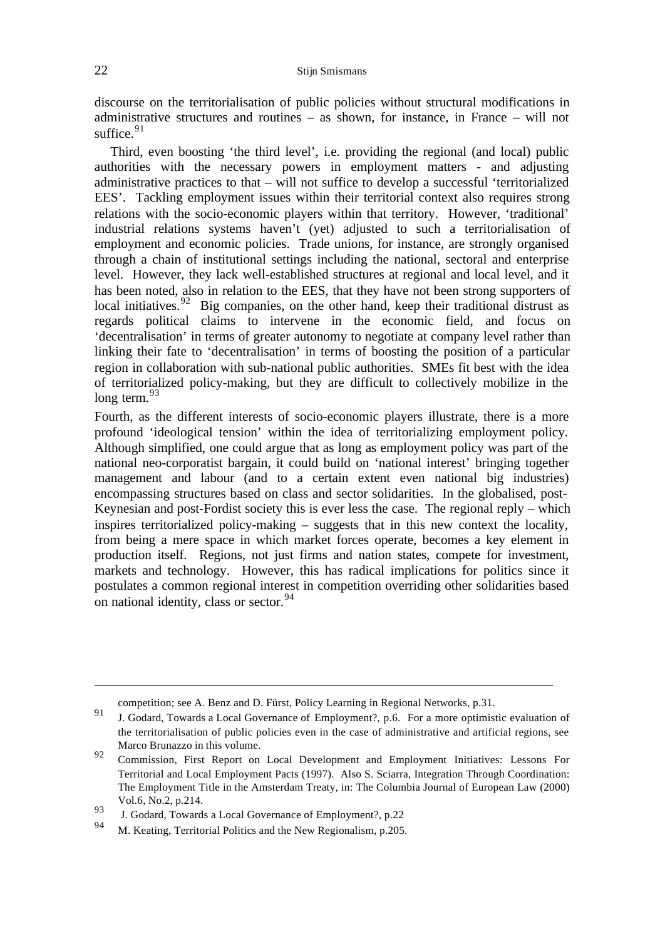### 22 Stijn Smismans

discourse on the territorialisation of public policies without structural modifications in administrative structures and routines – as shown, for instance, in France – will not suffice.  $91$ 

Third, even boosting 'the third level', i.e. providing the regional (and local) public authorities with the necessary powers in employment matters - and adjusting administrative practices to that – will not suffice to develop a successful 'territorialized EES'. Tackling employment issues within their territorial context also requires strong relations with the socio-economic players within that territory. However, 'traditional' industrial relations systems haven't (yet) adjusted to such a territorialisation of employment and economic policies. Trade unions, for instance, are strongly organised through a chain of institutional settings including the national, sectoral and enterprise level. However, they lack well-established structures at regional and local level, and it has been noted, also in relation to the EES, that they have not been strong supporters of local initiatives.  $92$  Big companies, on the other hand, keep their traditional distrust as regards political claims to intervene in the economic field, and focus on 'decentralisation' in terms of greater autonomy to negotiate at company level rather than linking their fate to 'decentralisation' in terms of boosting the position of a particular region in collaboration with sub-national public authorities. SMEs fit best with the idea of territorialized policy-making, but they are difficult to collectively mobilize in the long term.  $93$ 

Fourth, as the different interests of socio-economic players illustrate, there is a more profound 'ideological tension' within the idea of territorializing employment policy. Although simplified, one could argue that as long as employment policy was part of the national neo-corporatist bargain, it could build on 'national interest' bringing together management and labour (and to a certain extent even national big industries) encompassing structures based on class and sector solidarities. In the globalised, post-Keynesian and post-Fordist society this is ever less the case. The regional reply – which inspires territorialized policy-making – suggests that in this new context the locality, from being a mere space in which market forces operate, becomes a key element in production itself. Regions, not just firms and nation states, compete for investment, markets and technology. However, this has radical implications for politics since it postulates a common regional interest in competition overriding other solidarities based on national identity, class or sector.<sup>94</sup>

competition; see A. Benz and D. Fürst, Policy Learning in Regional Networks, p.31.

<sup>91</sup> J. Godard, Towards a Local Governance of Employment?, p.6. For a more optimistic evaluation of the territorialisation of public policies even in the case of administrative and artificial regions, see Marco Brunazzo in this volume.

<sup>92</sup> Commission, First Report on Local Development and Employment Initiatives: Lessons For Territorial and Local Employment Pacts (1997). Also S. Sciarra, Integration Through Coordination: The Employment Title in the Amsterdam Treaty, in: The Columbia Journal of European Law (2000) Vol.6, No.2, p.214.

<sup>93</sup> J. Godard, Towards a Local Governance of Employment?, p.22

<sup>94</sup> M. Keating, Territorial Politics and the New Regionalism, p.205.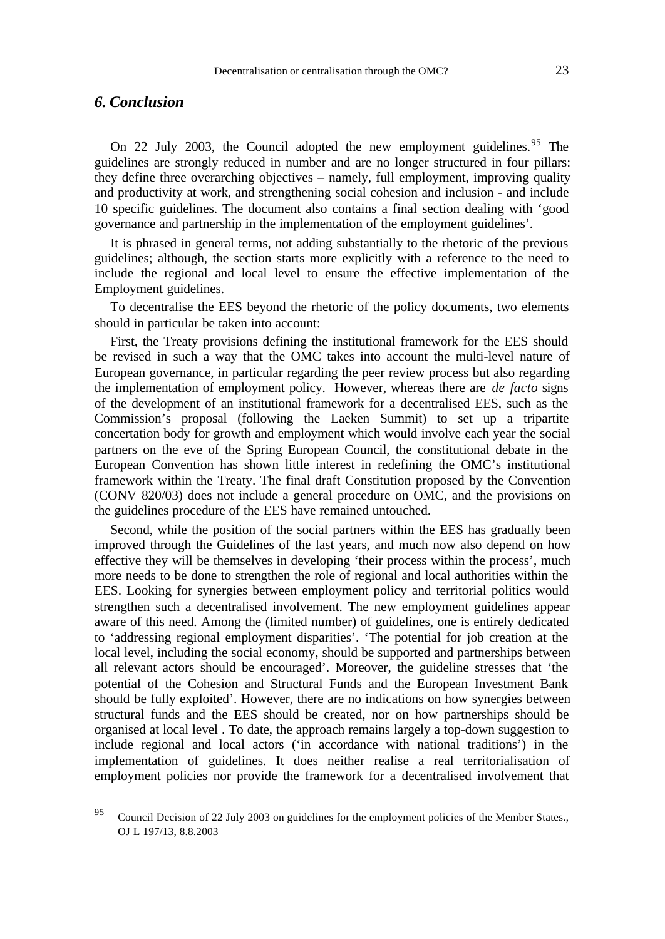## *6. Conclusion*

l

On 22 July 2003, the Council adopted the new employment guidelines. <sup>95</sup> The guidelines are strongly reduced in number and are no longer structured in four pillars: they define three overarching objectives – namely, full employment, improving quality and productivity at work, and strengthening social cohesion and inclusion - and include 10 specific guidelines. The document also contains a final section dealing with 'good governance and partnership in the implementation of the employment guidelines'.

It is phrased in general terms, not adding substantially to the rhetoric of the previous guidelines; although, the section starts more explicitly with a reference to the need to include the regional and local level to ensure the effective implementation of the Employment guidelines.

To decentralise the EES beyond the rhetoric of the policy documents, two elements should in particular be taken into account:

First, the Treaty provisions defining the institutional framework for the EES should be revised in such a way that the OMC takes into account the multi-level nature of European governance, in particular regarding the peer review process but also regarding the implementation of employment policy. However, whereas there are *de facto* signs of the development of an institutional framework for a decentralised EES, such as the Commission's proposal (following the Laeken Summit) to set up a tripartite concertation body for growth and employment which would involve each year the social partners on the eve of the Spring European Council, the constitutional debate in the European Convention has shown little interest in redefining the OMC's institutional framework within the Treaty. The final draft Constitution proposed by the Convention (CONV 820/03) does not include a general procedure on OMC, and the provisions on the guidelines procedure of the EES have remained untouched.

Second, while the position of the social partners within the EES has gradually been improved through the Guidelines of the last years, and much now also depend on how effective they will be themselves in developing 'their process within the process', much more needs to be done to strengthen the role of regional and local authorities within the EES. Looking for synergies between employment policy and territorial politics would strengthen such a decentralised involvement. The new employment guidelines appear aware of this need. Among the (limited number) of guidelines, one is entirely dedicated to 'addressing regional employment disparities'. 'The potential for job creation at the local level, including the social economy, should be supported and partnerships between all relevant actors should be encouraged'. Moreover, the guideline stresses that 'the potential of the Cohesion and Structural Funds and the European Investment Bank should be fully exploited'. However, there are no indications on how synergies between structural funds and the EES should be created, nor on how partnerships should be organised at local level . To date, the approach remains largely a top-down suggestion to include regional and local actors ('in accordance with national traditions') in the implementation of guidelines. It does neither realise a real territorialisation of employment policies nor provide the framework for a decentralised involvement that

<sup>95</sup> Council Decision of 22 July 2003 on guidelines for the employment policies of the Member States., OJ L 197/13, 8.8.2003